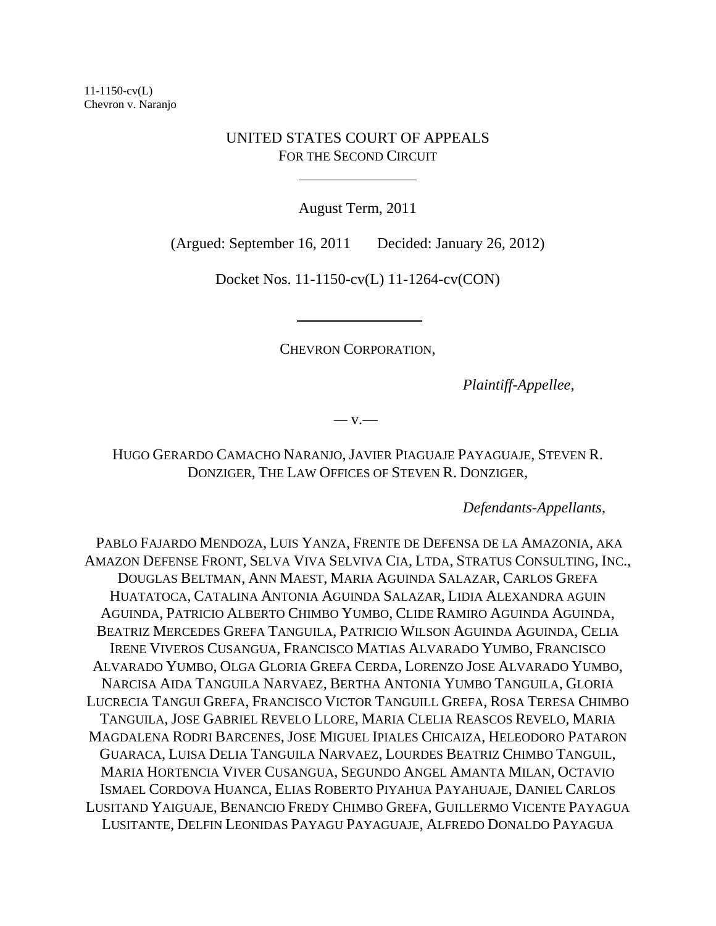# UNITED STATES COURT OF APPEALS FOR THE SECOND CIRCUIT

 $\overline{a}$ 

August Term, 2011

(Argued: September 16, 2011 Decided: January 26, 2012)

Docket Nos. 11-1150-cv(L) 11-1264-cv(CON)

CHEVRON CORPORATION,

*Plaintiff-Appellee*,

*—* v.—

HUGO GERARDO CAMACHO NARANJO, JAVIER PIAGUAJE PAYAGUAJE, STEVEN R. DONZIGER, THE LAW OFFICES OF STEVEN R. DONZIGER,

*Defendants-Appellants*,

PABLO FAJARDO MENDOZA, LUIS YANZA, FRENTE DE DEFENSA DE LA AMAZONIA, AKA AMAZON DEFENSE FRONT, SELVA VIVA SELVIVA CIA, LTDA, STRATUS CONSULTING, INC., DOUGLAS BELTMAN, ANN MAEST, MARIA AGUINDA SALAZAR, CARLOS GREFA HUATATOCA, CATALINA ANTONIA AGUINDA SALAZAR, LIDIA ALEXANDRA AGUIN AGUINDA, PATRICIO ALBERTO CHIMBO YUMBO, CLIDE RAMIRO AGUINDA AGUINDA, BEATRIZ MERCEDES GREFA TANGUILA, PATRICIO WILSON AGUINDA AGUINDA, CELIA IRENE VIVEROS CUSANGUA, FRANCISCO MATIAS ALVARADO YUMBO, FRANCISCO ALVARADO YUMBO, OLGA GLORIA GREFA CERDA, LORENZO JOSE ALVARADO YUMBO, NARCISA AIDA TANGUILA NARVAEZ, BERTHA ANTONIA YUMBO TANGUILA, GLORIA LUCRECIA TANGUI GREFA, FRANCISCO VICTOR TANGUILL GREFA, ROSA TERESA CHIMBO TANGUILA, JOSE GABRIEL REVELO LLORE, MARIA CLELIA REASCOS REVELO, MARIA MAGDALENA RODRI BARCENES, JOSE MIGUEL IPIALES CHICAIZA, HELEODORO PATARON GUARACA, LUISA DELIA TANGUILA NARVAEZ, LOURDES BEATRIZ CHIMBO TANGUIL, MARIA HORTENCIA VIVER CUSANGUA, SEGUNDO ANGEL AMANTA MILAN, OCTAVIO ISMAEL CORDOVA HUANCA, ELIAS ROBERTO PIYAHUA PAYAHUAJE, DANIEL CARLOS LUSITAND YAIGUAJE, BENANCIO FREDY CHIMBO GREFA, GUILLERMO VICENTE PAYAGUA LUSITANTE, DELFIN LEONIDAS PAYAGU PAYAGUAJE, ALFREDO DONALDO PAYAGUA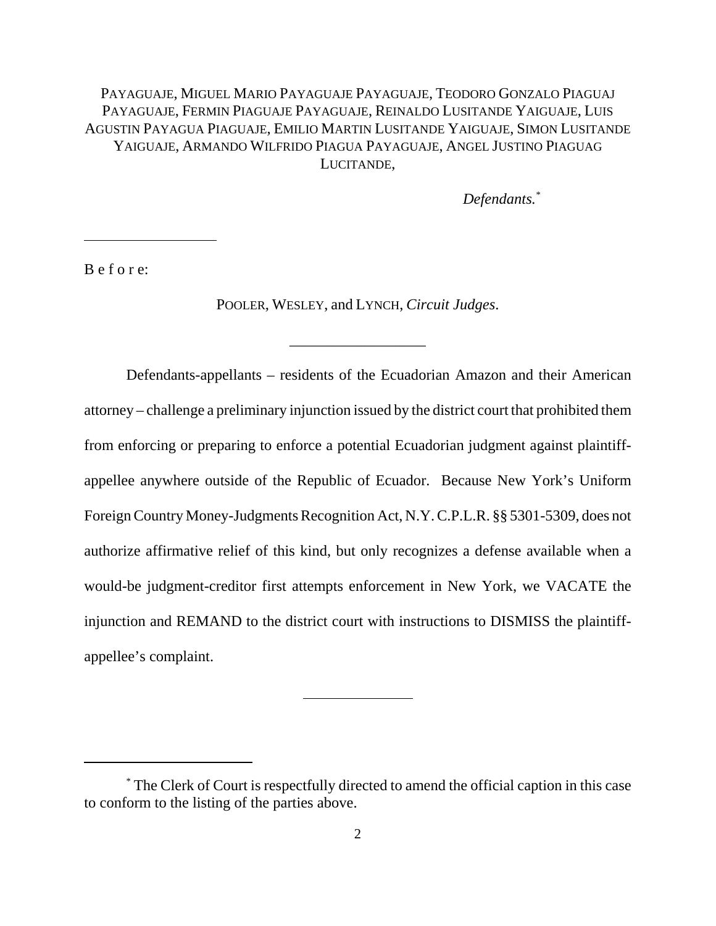# PAYAGUAJE, MIGUEL MARIO PAYAGUAJE PAYAGUAJE, TEODORO GONZALO PIAGUAJ PAYAGUAJE, FERMIN PIAGUAJE PAYAGUAJE, REINALDO LUSITANDE YAIGUAJE, LUIS AGUSTIN PAYAGUA PIAGUAJE, EMILIO MARTIN LUSITANDE YAIGUAJE, SIMON LUSITANDE YAIGUAJE, ARMANDO WILFRIDO PIAGUA PAYAGUAJE, ANGEL JUSTINO PIAGUAG LUCITANDE,

*Defendants.\**

B e f o r e:

l

POOLER, WESLEY, and LYNCH, *Circuit Judges*.

\_\_\_\_\_\_\_\_\_\_\_\_\_\_\_\_\_\_

Defendants-appellants – residents of the Ecuadorian Amazon and their American attorney – challenge a preliminary injunction issued by the district court that prohibited them from enforcing or preparing to enforce a potential Ecuadorian judgment against plaintiffappellee anywhere outside of the Republic of Ecuador. Because New York's Uniform Foreign Country Money-Judgments Recognition Act, N.Y. C.P.L.R. §§ 5301-5309, does not authorize affirmative relief of this kind, but only recognizes a defense available when a would-be judgment-creditor first attempts enforcement in New York, we VACATE the injunction and REMAND to the district court with instructions to DISMISS the plaintiffappellee's complaint.

 $\ddot{\phantom{a}}$ 

<sup>\*</sup> The Clerk of Court is respectfully directed to amend the official caption in this case to conform to the listing of the parties above.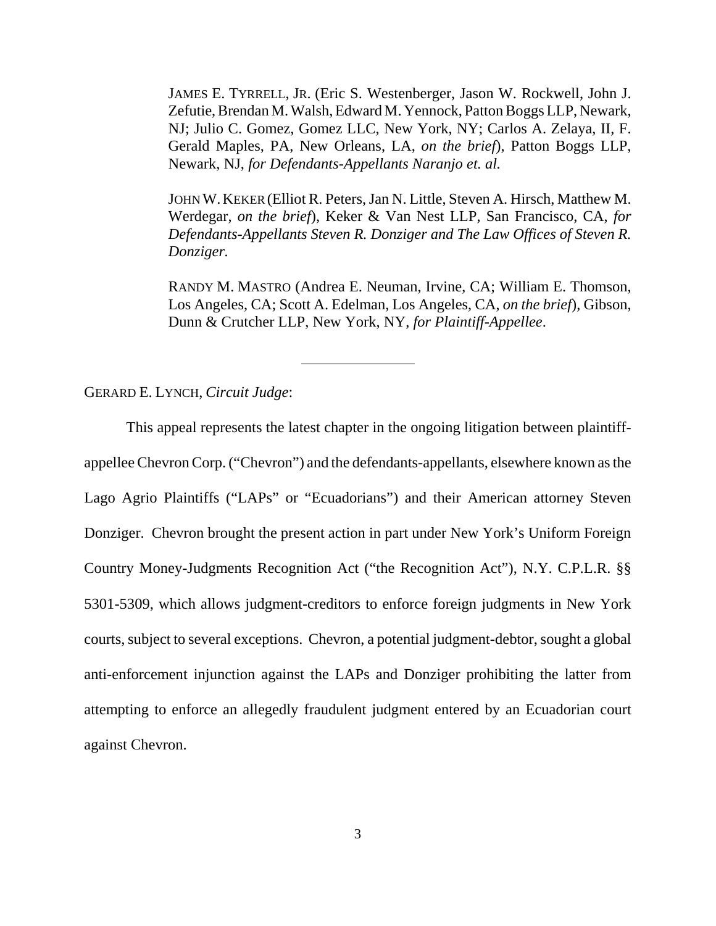JAMES E. TYRRELL, JR. (Eric S. Westenberger, Jason W. Rockwell, John J. Zefutie, Brendan M. Walsh, Edward M. Yennock, Patton Boggs LLP, Newark, NJ; Julio C. Gomez, Gomez LLC, New York, NY; Carlos A. Zelaya, II, F. Gerald Maples, PA, New Orleans, LA, *on the brief*), Patton Boggs LLP, Newark, NJ, *for Defendants-Appellants Naranjo et. al.* 

JOHN W.KEKER (Elliot R. Peters, Jan N. Little, Steven A. Hirsch, Matthew M. Werdegar, *on the brief*), Keker & Van Nest LLP, San Francisco, CA, *for Defendants-Appellants Steven R. Donziger and The Law Offices of Steven R. Donziger.*

RANDY M. MASTRO (Andrea E. Neuman, Irvine, CA; William E. Thomson, Los Angeles, CA; Scott A. Edelman, Los Angeles, CA, *on the brief*), Gibson, Dunn & Crutcher LLP, New York, NY, *for Plaintiff-Appellee*.

GERARD E. LYNCH, *Circuit Judge*:

This appeal represents the latest chapter in the ongoing litigation between plaintiffappellee Chevron Corp. ("Chevron") and the defendants-appellants, elsewhere known as the Lago Agrio Plaintiffs ("LAPs" or "Ecuadorians") and their American attorney Steven Donziger. Chevron brought the present action in part under New York's Uniform Foreign Country Money-Judgments Recognition Act ("the Recognition Act"), N.Y. C.P.L.R. §§ 5301-5309, which allows judgment-creditors to enforce foreign judgments in New York courts, subject to several exceptions. Chevron, a potential judgment-debtor, sought a global anti-enforcement injunction against the LAPs and Donziger prohibiting the latter from attempting to enforce an allegedly fraudulent judgment entered by an Ecuadorian court against Chevron.

 $\overline{a}$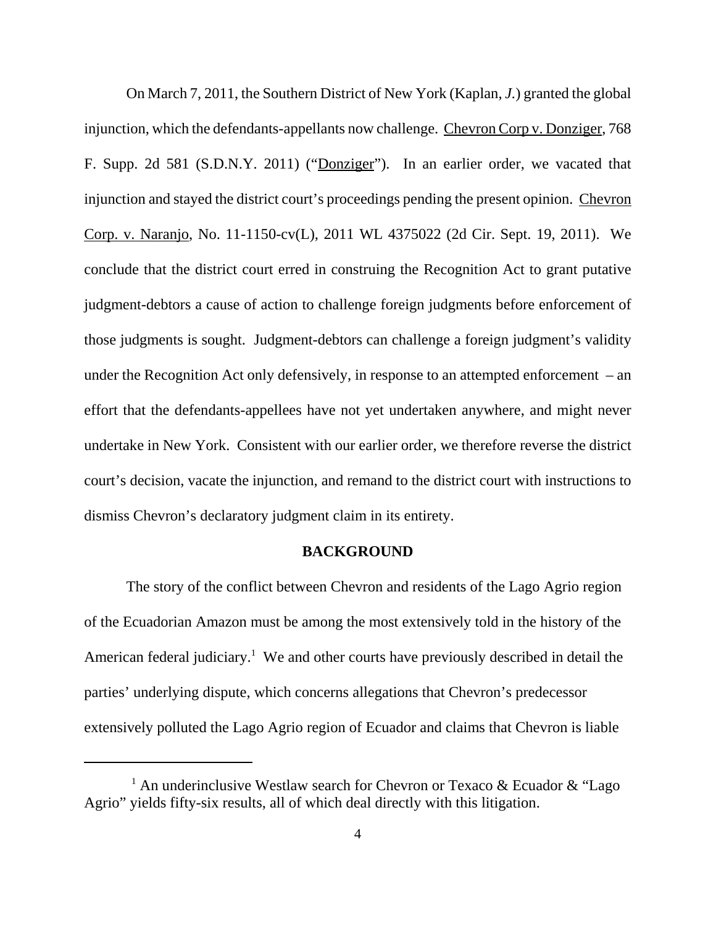On March 7, 2011, the Southern District of New York (Kaplan, *J.*) granted the global injunction, which the defendants-appellants now challenge. Chevron Corp v. Donziger, 768 F. Supp. 2d 581 (S.D.N.Y. 2011) ("Donziger"). In an earlier order, we vacated that injunction and stayed the district court's proceedings pending the present opinion. Chevron Corp. v. Naranjo, No. 11-1150-cv(L), 2011 WL 4375022 (2d Cir. Sept. 19, 2011). We conclude that the district court erred in construing the Recognition Act to grant putative judgment-debtors a cause of action to challenge foreign judgments before enforcement of those judgments is sought. Judgment-debtors can challenge a foreign judgment's validity under the Recognition Act only defensively, in response to an attempted enforcement – an effort that the defendants-appellees have not yet undertaken anywhere, and might never undertake in New York. Consistent with our earlier order, we therefore reverse the district court's decision, vacate the injunction, and remand to the district court with instructions to dismiss Chevron's declaratory judgment claim in its entirety.

## **BACKGROUND**

The story of the conflict between Chevron and residents of the Lago Agrio region of the Ecuadorian Amazon must be among the most extensively told in the history of the American federal judiciary.<sup>1</sup> We and other courts have previously described in detail the parties' underlying dispute, which concerns allegations that Chevron's predecessor extensively polluted the Lago Agrio region of Ecuador and claims that Chevron is liable

<sup>&</sup>lt;sup>1</sup> An underinclusive Westlaw search for Chevron or Texaco & Ecuador & "Lago Agrio" yields fifty-six results, all of which deal directly with this litigation.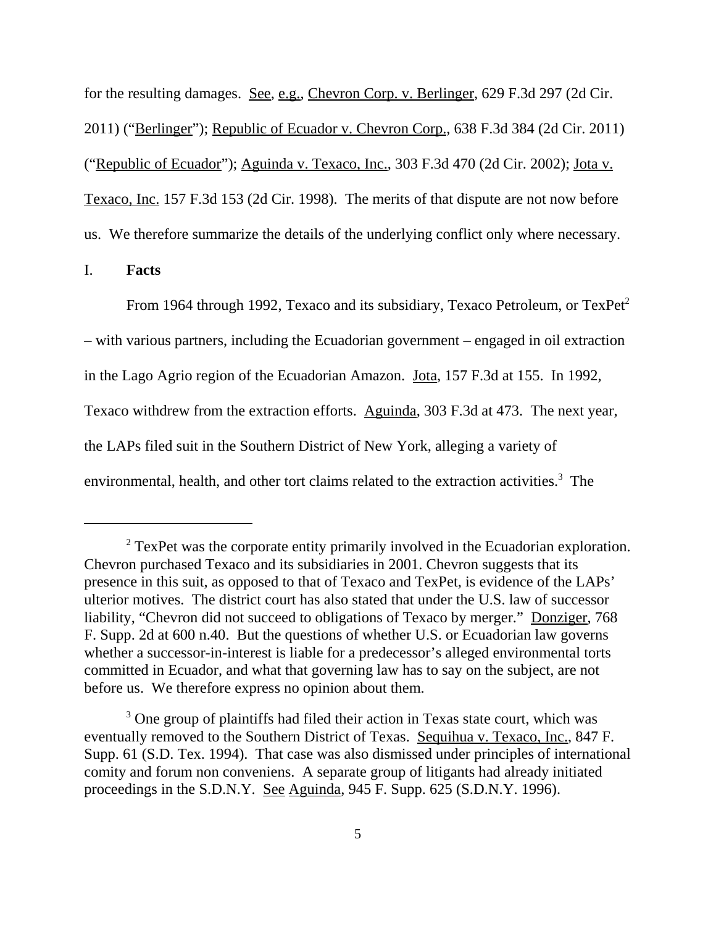for the resulting damages. See, e.g., Chevron Corp. v. Berlinger, 629 F.3d 297 (2d Cir. 2011) ("Berlinger"); Republic of Ecuador v. Chevron Corp., 638 F.3d 384 (2d Cir. 2011) ("Republic of Ecuador"); Aguinda v. Texaco, Inc., 303 F.3d 470 (2d Cir. 2002); Jota v. Texaco, Inc. 157 F.3d 153 (2d Cir. 1998). The merits of that dispute are not now before us. We therefore summarize the details of the underlying conflict only where necessary.

# I. **Facts**

From 1964 through 1992, Texaco and its subsidiary, Texaco Petroleum, or  $TexPet^2$ – with various partners, including the Ecuadorian government – engaged in oil extraction in the Lago Agrio region of the Ecuadorian Amazon. Jota, 157 F.3d at 155. In 1992, Texaco withdrew from the extraction efforts. Aguinda, 303 F.3d at 473. The next year, the LAPs filed suit in the Southern District of New York, alleging a variety of environmental, health, and other tort claims related to the extraction activities.<sup>3</sup> The

 $2^2$  TexPet was the corporate entity primarily involved in the Ecuadorian exploration. Chevron purchased Texaco and its subsidiaries in 2001. Chevron suggests that its presence in this suit, as opposed to that of Texaco and TexPet, is evidence of the LAPs' ulterior motives.The district court has also stated that under the U.S. law of successor liability, "Chevron did not succeed to obligations of Texaco by merger." Donziger, 768 F. Supp. 2d at 600 n.40. But the questions of whether U.S. or Ecuadorian law governs whether a successor-in-interest is liable for a predecessor's alleged environmental torts committed in Ecuador, and what that governing law has to say on the subject, are not before us. We therefore express no opinion about them.

<sup>&</sup>lt;sup>3</sup> One group of plaintiffs had filed their action in Texas state court, which was eventually removed to the Southern District of Texas. Sequihua v. Texaco, Inc., 847 F. Supp. 61 (S.D. Tex. 1994). That case was also dismissed under principles of international comity and forum non conveniens. A separate group of litigants had already initiated proceedings in the S.D.N.Y. See Aguinda, 945 F. Supp. 625 (S.D.N.Y. 1996).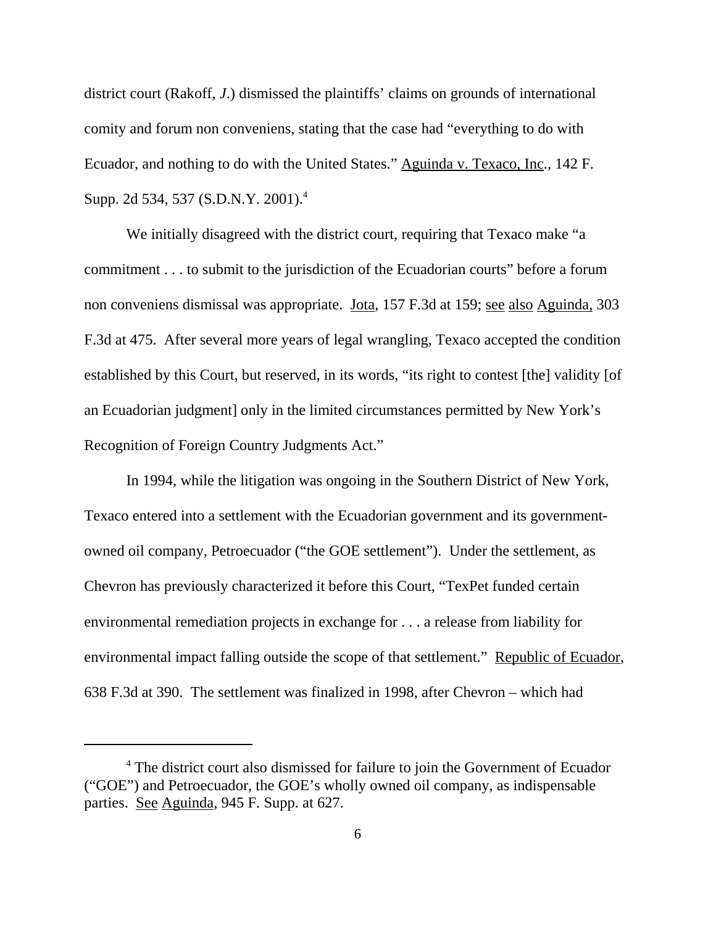district court (Rakoff, *J*.) dismissed the plaintiffs' claims on grounds of international comity and forum non conveniens, stating that the case had "everything to do with Ecuador, and nothing to do with the United States." Aguinda v. Texaco, Inc., 142 F. Supp. 2d 534, 537 (S.D.N.Y. 2001).4

We initially disagreed with the district court, requiring that Texaco make "a commitment . . . to submit to the jurisdiction of the Ecuadorian courts" before a forum non conveniens dismissal was appropriate. Jota, 157 F.3d at 159; see also Aguinda, 303 F.3d at 475. After several more years of legal wrangling, Texaco accepted the condition established by this Court, but reserved, in its words, "its right to contest [the] validity [of an Ecuadorian judgment] only in the limited circumstances permitted by New York's Recognition of Foreign Country Judgments Act."

In 1994, while the litigation was ongoing in the Southern District of New York, Texaco entered into a settlement with the Ecuadorian government and its governmentowned oil company, Petroecuador ("the GOE settlement"). Under the settlement, as Chevron has previously characterized it before this Court, "TexPet funded certain environmental remediation projects in exchange for . . . a release from liability for environmental impact falling outside the scope of that settlement." Republic of Ecuador, 638 F.3d at 390. The settlement was finalized in 1998, after Chevron – which had

<sup>&</sup>lt;sup>4</sup> The district court also dismissed for failure to join the Government of Ecuador ("GOE") and Petroecuador, the GOE's wholly owned oil company, as indispensable parties. See Aguinda, 945 F. Supp. at 627.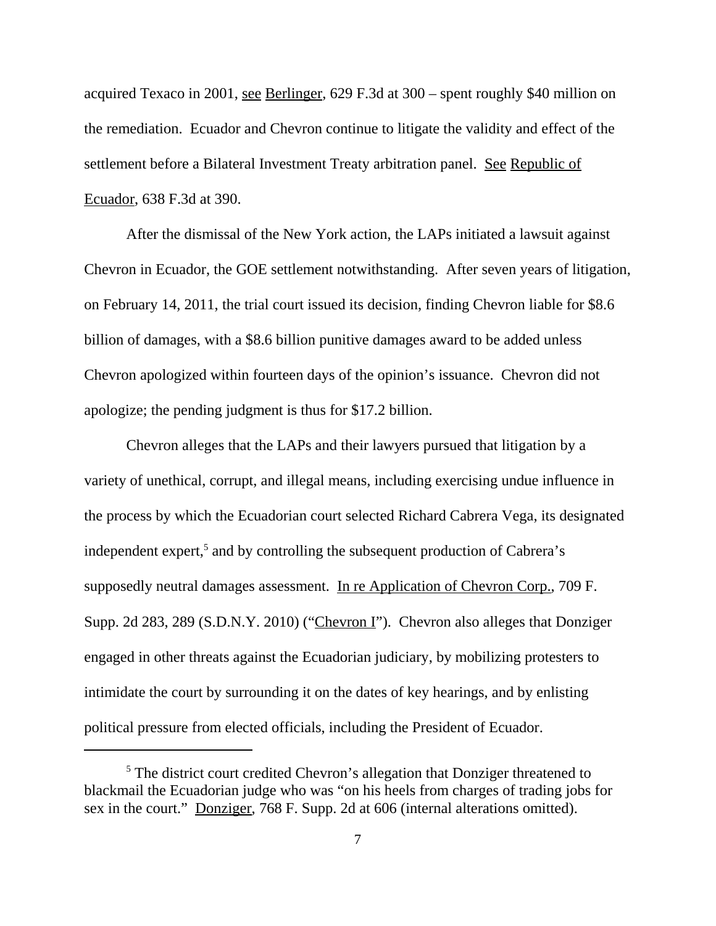acquired Texaco in 2001, see Berlinger, 629 F.3d at 300 – spent roughly \$40 million on the remediation. Ecuador and Chevron continue to litigate the validity and effect of the settlement before a Bilateral Investment Treaty arbitration panel. See Republic of Ecuador, 638 F.3d at 390.

After the dismissal of the New York action, the LAPs initiated a lawsuit against Chevron in Ecuador, the GOE settlement notwithstanding. After seven years of litigation, on February 14, 2011, the trial court issued its decision, finding Chevron liable for \$8.6 billion of damages, with a \$8.6 billion punitive damages award to be added unless Chevron apologized within fourteen days of the opinion's issuance. Chevron did not apologize; the pending judgment is thus for \$17.2 billion.

Chevron alleges that the LAPs and their lawyers pursued that litigation by a variety of unethical, corrupt, and illegal means, including exercising undue influence in the process by which the Ecuadorian court selected Richard Cabrera Vega, its designated independent expert,<sup>5</sup> and by controlling the subsequent production of Cabrera's supposedly neutral damages assessment. In re Application of Chevron Corp., 709 F. Supp. 2d 283, 289 (S.D.N.Y. 2010) ("Chevron I"). Chevron also alleges that Donziger engaged in other threats against the Ecuadorian judiciary, by mobilizing protesters to intimidate the court by surrounding it on the dates of key hearings, and by enlisting political pressure from elected officials, including the President of Ecuador.

<sup>&</sup>lt;sup>5</sup> The district court credited Chevron's allegation that Donziger threatened to blackmail the Ecuadorian judge who was "on his heels from charges of trading jobs for sex in the court." Donziger, 768 F. Supp. 2d at 606 (internal alterations omitted).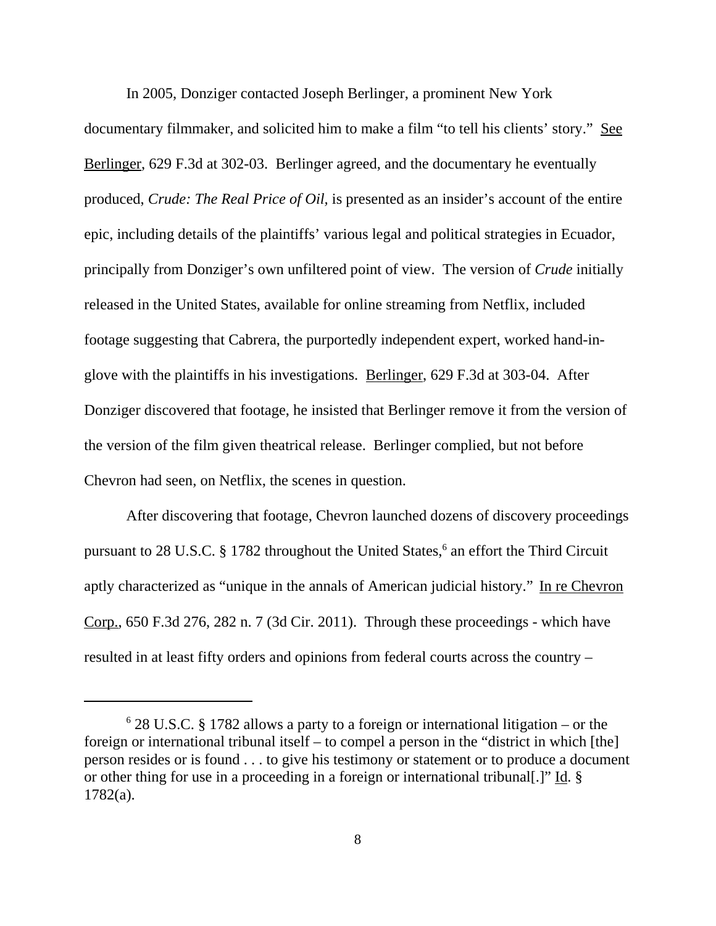In 2005, Donziger contacted Joseph Berlinger, a prominent New York documentary filmmaker, and solicited him to make a film "to tell his clients' story." See Berlinger, 629 F.3d at 302-03. Berlinger agreed, and the documentary he eventually produced, *Crude: The Real Price of Oil,* is presented as an insider's account of the entire epic, including details of the plaintiffs' various legal and political strategies in Ecuador, principally from Donziger's own unfiltered point of view. The version of *Crude* initially released in the United States, available for online streaming from Netflix, included footage suggesting that Cabrera, the purportedly independent expert, worked hand-inglove with the plaintiffs in his investigations. Berlinger, 629 F.3d at 303-04. After Donziger discovered that footage, he insisted that Berlinger remove it from the version of the version of the film given theatrical release. Berlinger complied, but not before Chevron had seen, on Netflix, the scenes in question.

After discovering that footage, Chevron launched dozens of discovery proceedings pursuant to 28 U.S.C. § 1782 throughout the United States,<sup>6</sup> an effort the Third Circuit aptly characterized as "unique in the annals of American judicial history." In re Chevron Corp., 650 F.3d 276, 282 n. 7 (3d Cir. 2011). Through these proceedings - which have resulted in at least fifty orders and opinions from federal courts across the country –

<sup>6</sup> 28 U.S.C. § 1782 allows a party to a foreign or international litigation – or the foreign or international tribunal itself – to compel a person in the "district in which [the] person resides or is found . . . to give his testimony or statement or to produce a document or other thing for use in a proceeding in a foreign or international tribunal.]" Id. § 1782(a).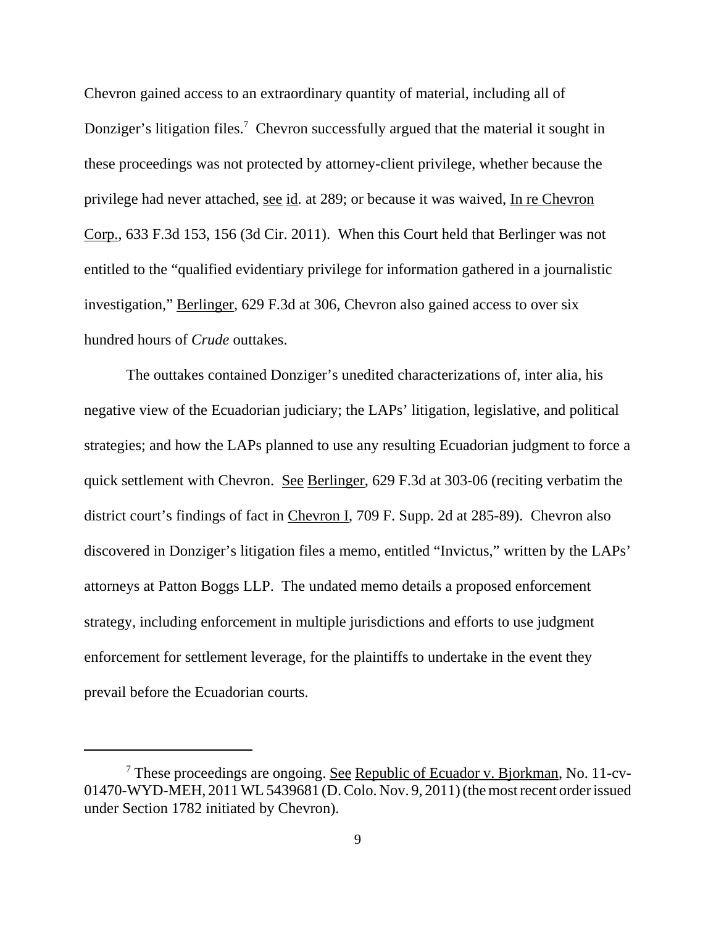Chevron gained access to an extraordinary quantity of material, including all of Donziger's litigation files.<sup>7</sup> Chevron successfully argued that the material it sought in these proceedings was not protected by attorney-client privilege, whether because the privilege had never attached, see id. at 289; or because it was waived, In re Chevron Corp., 633 F.3d 153, 156 (3d Cir. 2011). When this Court held that Berlinger was not entitled to the "qualified evidentiary privilege for information gathered in a journalistic investigation," Berlinger, 629 F.3d at 306, Chevron also gained access to over six hundred hours of *Crude* outtakes.

The outtakes contained Donziger's unedited characterizations of, inter alia, his negative view of the Ecuadorian judiciary; the LAPs' litigation, legislative, and political strategies; and how the LAPs planned to use any resulting Ecuadorian judgment to force a quick settlement with Chevron. See Berlinger, 629 F.3d at 303-06 (reciting verbatim the district court's findings of fact in Chevron I, 709 F. Supp. 2d at 285-89). Chevron also discovered in Donziger's litigation files a memo, entitled "Invictus," written by the LAPs' attorneys at Patton Boggs LLP. The undated memo details a proposed enforcement strategy, including enforcement in multiple jurisdictions and efforts to use judgment enforcement for settlement leverage, for the plaintiffs to undertake in the event they prevail before the Ecuadorian courts.

<sup>&</sup>lt;sup>7</sup> These proceedings are ongoing. See Republic of Ecuador v. Bjorkman, No. 11-cv-01470-WYD-MEH, 2011 WL 5439681 (D. Colo. Nov. 9, 2011) (the most recent order issued under Section 1782 initiated by Chevron).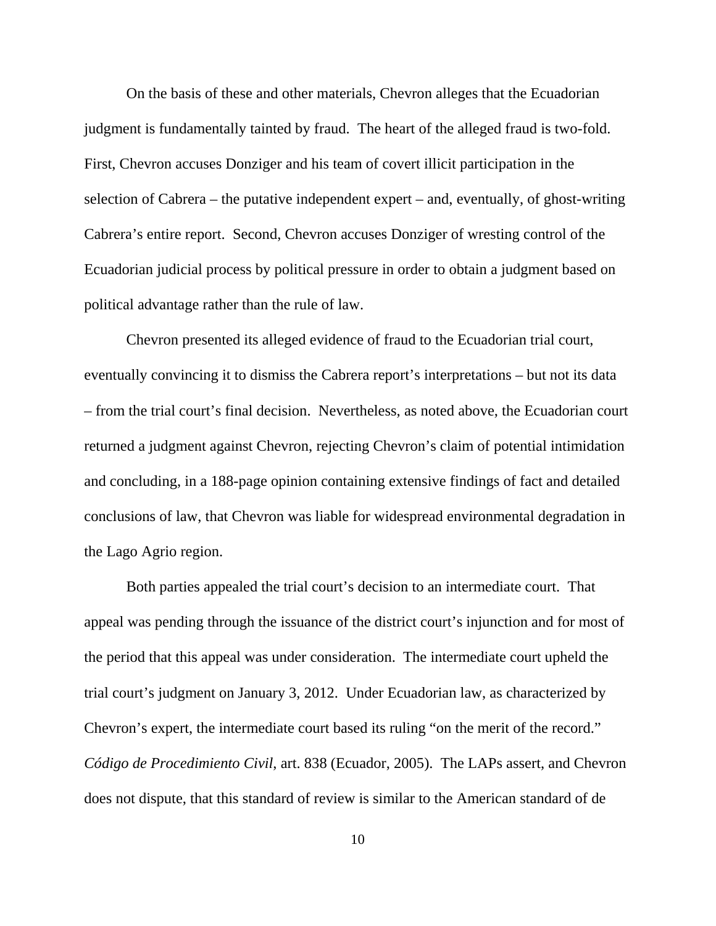On the basis of these and other materials, Chevron alleges that the Ecuadorian judgment is fundamentally tainted by fraud. The heart of the alleged fraud is two-fold. First, Chevron accuses Donziger and his team of covert illicit participation in the selection of Cabrera – the putative independent expert – and, eventually, of ghost-writing Cabrera's entire report. Second, Chevron accuses Donziger of wresting control of the Ecuadorian judicial process by political pressure in order to obtain a judgment based on political advantage rather than the rule of law.

Chevron presented its alleged evidence of fraud to the Ecuadorian trial court, eventually convincing it to dismiss the Cabrera report's interpretations – but not its data – from the trial court's final decision. Nevertheless, as noted above, the Ecuadorian court returned a judgment against Chevron, rejecting Chevron's claim of potential intimidation and concluding, in a 188-page opinion containing extensive findings of fact and detailed conclusions of law, that Chevron was liable for widespread environmental degradation in the Lago Agrio region.

Both parties appealed the trial court's decision to an intermediate court. That appeal was pending through the issuance of the district court's injunction and for most of the period that this appeal was under consideration. The intermediate court upheld the trial court's judgment on January 3, 2012. Under Ecuadorian law, as characterized by Chevron's expert, the intermediate court based its ruling "on the merit of the record." *Código de Procedimiento Civil*, art. 838 (Ecuador, 2005). The LAPs assert, and Chevron does not dispute, that this standard of review is similar to the American standard of de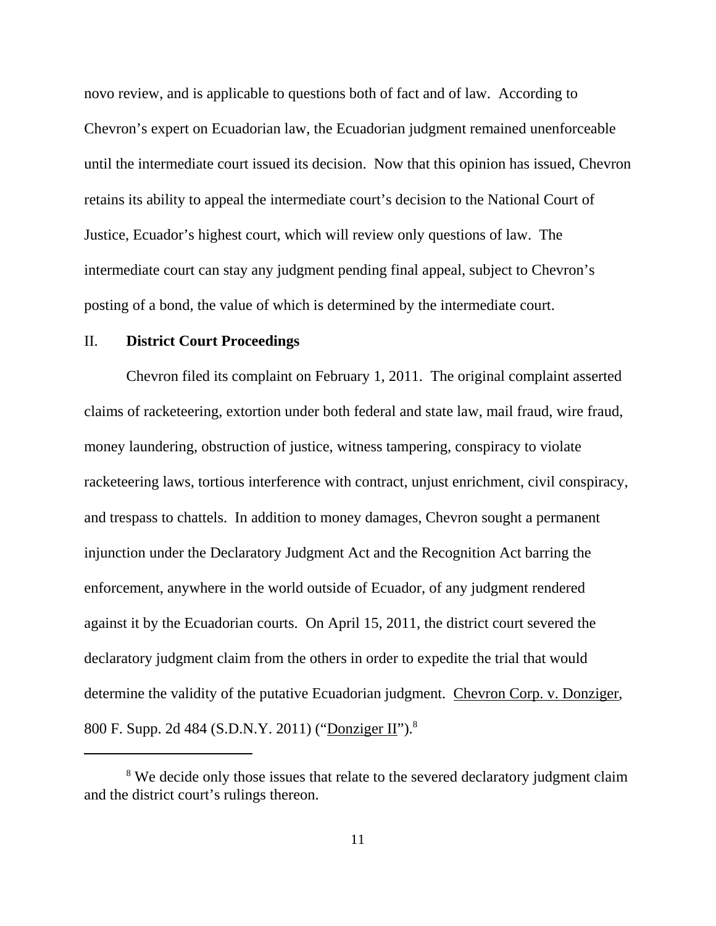novo review, and is applicable to questions both of fact and of law. According to Chevron's expert on Ecuadorian law, the Ecuadorian judgment remained unenforceable until the intermediate court issued its decision. Now that this opinion has issued, Chevron retains its ability to appeal the intermediate court's decision to the National Court of Justice, Ecuador's highest court, which will review only questions of law. The intermediate court can stay any judgment pending final appeal, subject to Chevron's posting of a bond, the value of which is determined by the intermediate court.

## II. **District Court Proceedings**

Chevron filed its complaint on February 1, 2011. The original complaint asserted claims of racketeering, extortion under both federal and state law, mail fraud, wire fraud, money laundering, obstruction of justice, witness tampering, conspiracy to violate racketeering laws, tortious interference with contract, unjust enrichment, civil conspiracy, and trespass to chattels. In addition to money damages, Chevron sought a permanent injunction under the Declaratory Judgment Act and the Recognition Act barring the enforcement, anywhere in the world outside of Ecuador, of any judgment rendered against it by the Ecuadorian courts. On April 15, 2011, the district court severed the declaratory judgment claim from the others in order to expedite the trial that would determine the validity of the putative Ecuadorian judgment. Chevron Corp. v. Donziger, 800 F. Supp. 2d 484 (S.D.N.Y. 2011) ("Donziger II").8

<sup>&</sup>lt;sup>8</sup> We decide only those issues that relate to the severed declaratory judgment claim and the district court's rulings thereon.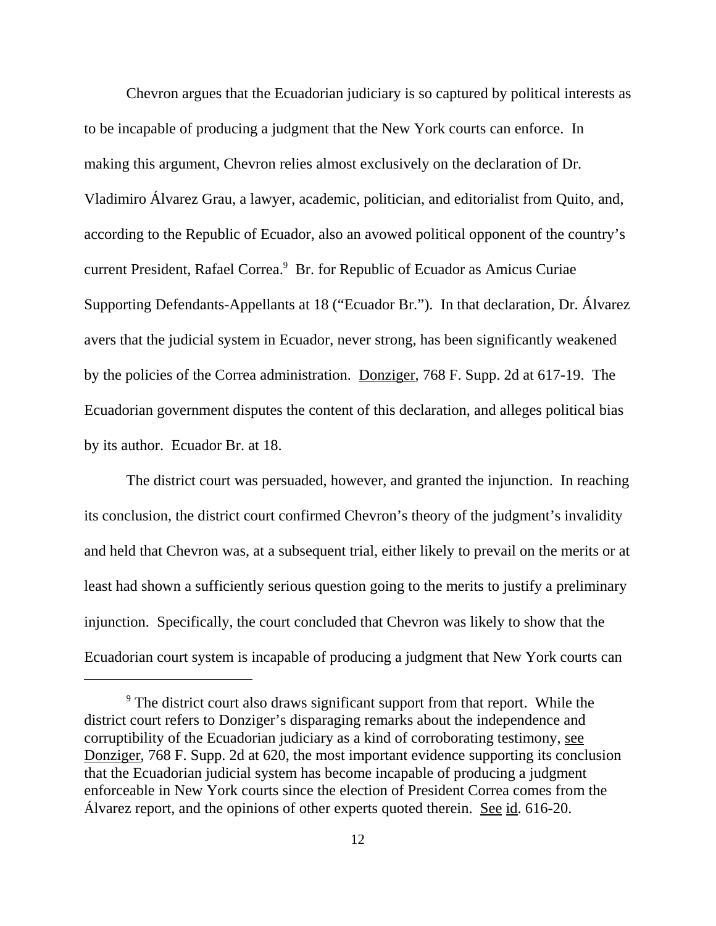Chevron argues that the Ecuadorian judiciary is so captured by political interests as to be incapable of producing a judgment that the New York courts can enforce. In making this argument, Chevron relies almost exclusively on the declaration of Dr. Vladimiro Álvarez Grau, a lawyer, academic, politician, and editorialist from Quito, and, according to the Republic of Ecuador, also an avowed political opponent of the country's current President, Rafael Correa.<sup>9</sup> Br. for Republic of Ecuador as Amicus Curiae Supporting Defendants-Appellants at 18 ("Ecuador Br."). In that declaration, Dr. Álvarez avers that the judicial system in Ecuador, never strong, has been significantly weakened by the policies of the Correa administration. Donziger, 768 F. Supp. 2d at 617-19. The Ecuadorian government disputes the content of this declaration, and alleges political bias by its author. Ecuador Br. at 18.

The district court was persuaded, however, and granted the injunction. In reaching its conclusion, the district court confirmed Chevron's theory of the judgment's invalidity and held that Chevron was, at a subsequent trial, either likely to prevail on the merits or at least had shown a sufficiently serious question going to the merits to justify a preliminary injunction. Specifically, the court concluded that Chevron was likely to show that the Ecuadorian court system is incapable of producing a judgment that New York courts can

<sup>&</sup>lt;sup>9</sup> The district court also draws significant support from that report. While the district court refers to Donziger's disparaging remarks about the independence and corruptibility of the Ecuadorian judiciary as a kind of corroborating testimony, see Donziger, 768 F. Supp. 2d at 620, the most important evidence supporting its conclusion that the Ecuadorian judicial system has become incapable of producing a judgment enforceable in New York courts since the election of President Correa comes from the Álvarez report, and the opinions of other experts quoted therein. See id. 616-20.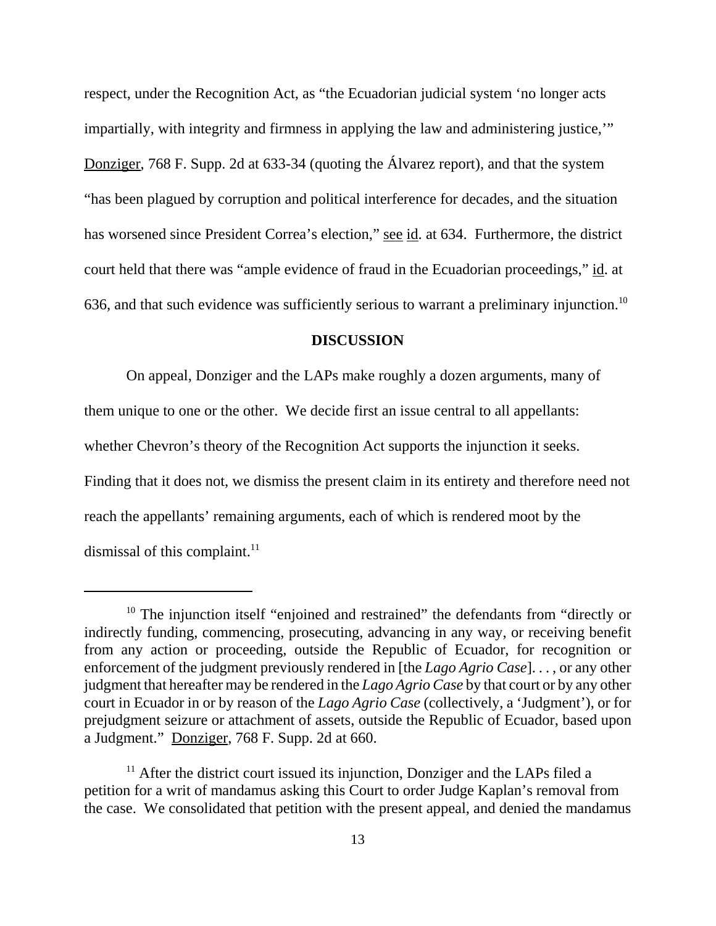respect, under the Recognition Act, as "the Ecuadorian judicial system 'no longer acts impartially, with integrity and firmness in applying the law and administering justice,'" Donziger, 768 F. Supp. 2d at 633-34 (quoting the Álvarez report), and that the system "has been plagued by corruption and political interference for decades, and the situation has worsened since President Correa's election," see id. at 634. Furthermore, the district court held that there was "ample evidence of fraud in the Ecuadorian proceedings," id. at 636, and that such evidence was sufficiently serious to warrant a preliminary injunction.<sup>10</sup>

#### **DISCUSSION**

On appeal, Donziger and the LAPs make roughly a dozen arguments, many of them unique to one or the other. We decide first an issue central to all appellants: whether Chevron's theory of the Recognition Act supports the injunction it seeks. Finding that it does not, we dismiss the present claim in its entirety and therefore need not reach the appellants' remaining arguments, each of which is rendered moot by the dismissal of this complaint. $^{11}$ 

<sup>&</sup>lt;sup>10</sup> The injunction itself "enjoined and restrained" the defendants from "directly or indirectly funding, commencing, prosecuting, advancing in any way, or receiving benefit from any action or proceeding, outside the Republic of Ecuador, for recognition or enforcement of the judgment previously rendered in [the *Lago Agrio Case*]. . . , or any other judgment that hereafter may be rendered in the *Lago Agrio Case* by that court or by any other court in Ecuador in or by reason of the *Lago Agrio Case* (collectively, a 'Judgment'), or for prejudgment seizure or attachment of assets, outside the Republic of Ecuador, based upon a Judgment." Donziger, 768 F. Supp. 2d at 660.

 $11$  After the district court issued its injunction, Donziger and the LAPs filed a petition for a writ of mandamus asking this Court to order Judge Kaplan's removal from the case. We consolidated that petition with the present appeal, and denied the mandamus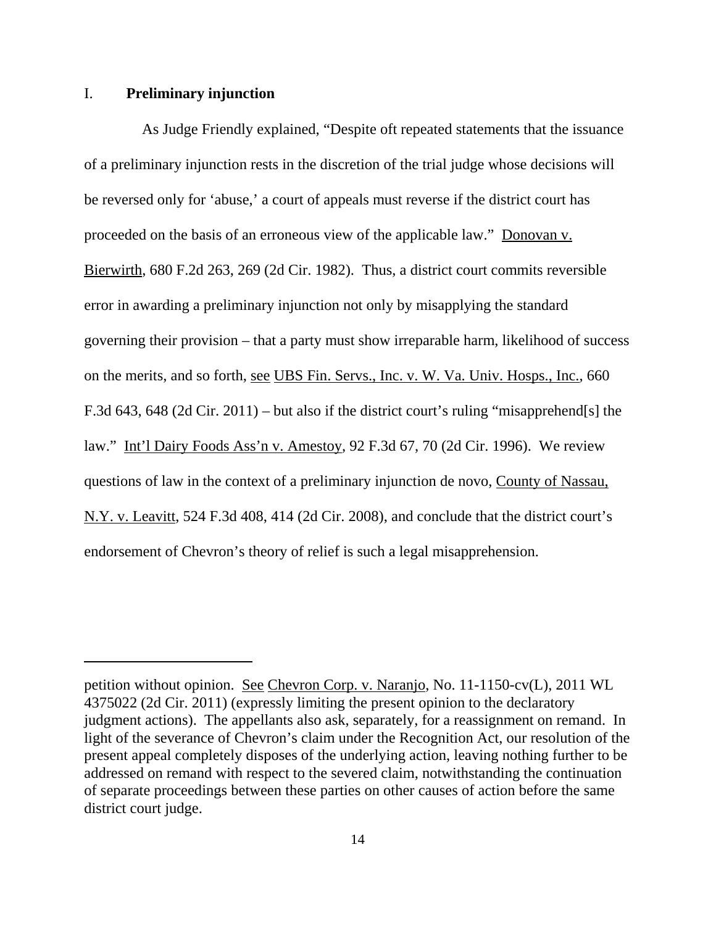## I. **Preliminary injunction**

As Judge Friendly explained, "Despite oft repeated statements that the issuance of a preliminary injunction rests in the discretion of the trial judge whose decisions will be reversed only for 'abuse,' a court of appeals must reverse if the district court has proceeded on the basis of an erroneous view of the applicable law." Donovan v. Bierwirth, 680 F.2d 263, 269 (2d Cir. 1982). Thus, a district court commits reversible error in awarding a preliminary injunction not only by misapplying the standard governing their provision – that a party must show irreparable harm, likelihood of success on the merits, and so forth, see UBS Fin. Servs., Inc. v. W. Va. Univ. Hosps., Inc., 660 F.3d 643, 648 (2d Cir. 2011) – but also if the district court's ruling "misapprehend[s] the law." Int'l Dairy Foods Ass'n v. Amestoy*,* 92 F.3d 67, 70 (2d Cir. 1996). We review questions of law in the context of a preliminary injunction de novo, County of Nassau, N.Y. v. Leavitt, 524 F.3d 408, 414 (2d Cir. 2008), and conclude that the district court's endorsement of Chevron's theory of relief is such a legal misapprehension.

petition without opinion. See Chevron Corp. v. Naranjo, No. 11-1150-cv(L), 2011 WL 4375022 (2d Cir. 2011) (expressly limiting the present opinion to the declaratory judgment actions). The appellants also ask, separately, for a reassignment on remand. In light of the severance of Chevron's claim under the Recognition Act, our resolution of the present appeal completely disposes of the underlying action, leaving nothing further to be addressed on remand with respect to the severed claim, notwithstanding the continuation of separate proceedings between these parties on other causes of action before the same district court judge.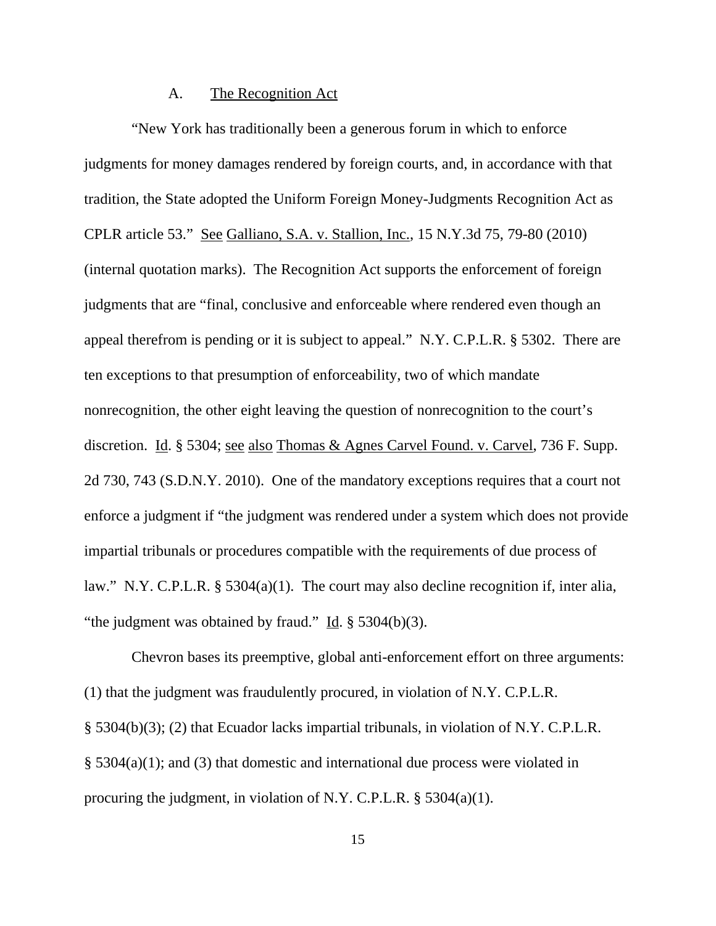## A. The Recognition Act

"New York has traditionally been a generous forum in which to enforce judgments for money damages rendered by foreign courts, and, in accordance with that tradition, the State adopted the Uniform Foreign Money-Judgments Recognition Act as CPLR article 53." See Galliano, S.A. v. Stallion, Inc., 15 N.Y.3d 75, 79-80 (2010) (internal quotation marks). The Recognition Act supports the enforcement of foreign judgments that are "final, conclusive and enforceable where rendered even though an appeal therefrom is pending or it is subject to appeal." N.Y. C.P.L.R. § 5302. There are ten exceptions to that presumption of enforceability, two of which mandate nonrecognition, the other eight leaving the question of nonrecognition to the court's discretion. Id. § 5304; see also Thomas & Agnes Carvel Found. v. Carvel, 736 F. Supp. 2d 730, 743 (S.D.N.Y. 2010). One of the mandatory exceptions requires that a court not enforce a judgment if "the judgment was rendered under a system which does not provide impartial tribunals or procedures compatible with the requirements of due process of law." N.Y. C.P.L.R. § 5304(a)(1). The court may also decline recognition if, inter alia, "the judgment was obtained by fraud." Id.  $\S$  5304(b)(3).

Chevron bases its preemptive, global anti-enforcement effort on three arguments: (1) that the judgment was fraudulently procured, in violation of N.Y. C.P.L.R. § 5304(b)(3); (2) that Ecuador lacks impartial tribunals, in violation of N.Y. C.P.L.R. § 5304(a)(1); and (3) that domestic and international due process were violated in procuring the judgment, in violation of N.Y. C.P.L.R. § 5304(a)(1).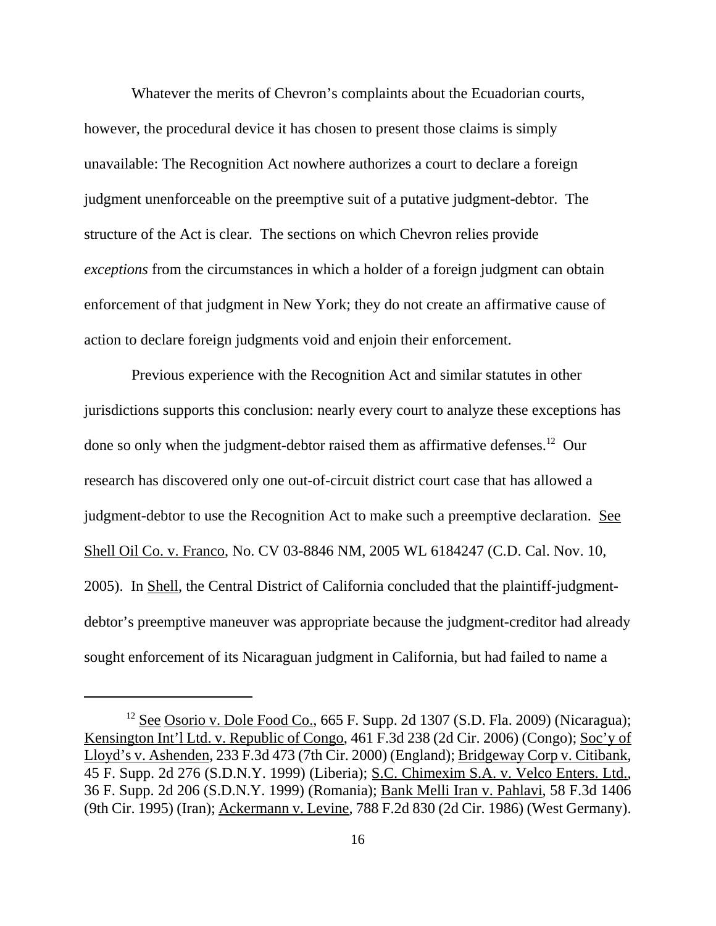Whatever the merits of Chevron's complaints about the Ecuadorian courts, however, the procedural device it has chosen to present those claims is simply unavailable: The Recognition Act nowhere authorizes a court to declare a foreign judgment unenforceable on the preemptive suit of a putative judgment-debtor. The structure of the Act is clear. The sections on which Chevron relies provide *exceptions* from the circumstances in which a holder of a foreign judgment can obtain enforcement of that judgment in New York; they do not create an affirmative cause of action to declare foreign judgments void and enjoin their enforcement.

Previous experience with the Recognition Act and similar statutes in other jurisdictions supports this conclusion: nearly every court to analyze these exceptions has done so only when the judgment-debtor raised them as affirmative defenses.<sup>12</sup> Our research has discovered only one out-of-circuit district court case that has allowed a judgment-debtor to use the Recognition Act to make such a preemptive declaration. See Shell Oil Co. v. Franco, No. CV 03-8846 NM, 2005 WL 6184247 (C.D. Cal. Nov. 10, 2005). In Shell, the Central District of California concluded that the plaintiff-judgmentdebtor's preemptive maneuver was appropriate because the judgment-creditor had already sought enforcement of its Nicaraguan judgment in California, but had failed to name a

 $12$  See Osorio v. Dole Food Co., 665 F. Supp. 2d 1307 (S.D. Fla. 2009) (Nicaragua); Kensington Int'l Ltd. v. Republic of Congo, 461 F.3d 238 (2d Cir. 2006) (Congo); Soc'y of Lloyd's v. Ashenden, 233 F.3d 473 (7th Cir. 2000) (England); Bridgeway Corp v. Citibank, 45 F. Supp. 2d 276 (S.D.N.Y. 1999) (Liberia); S.C. Chimexim S.A. v. Velco Enters. Ltd., 36 F. Supp. 2d 206 (S.D.N.Y. 1999) (Romania); Bank Melli Iran v. Pahlavi, 58 F.3d 1406 (9th Cir. 1995) (Iran); Ackermann v. Levine, 788 F.2d 830 (2d Cir. 1986) (West Germany).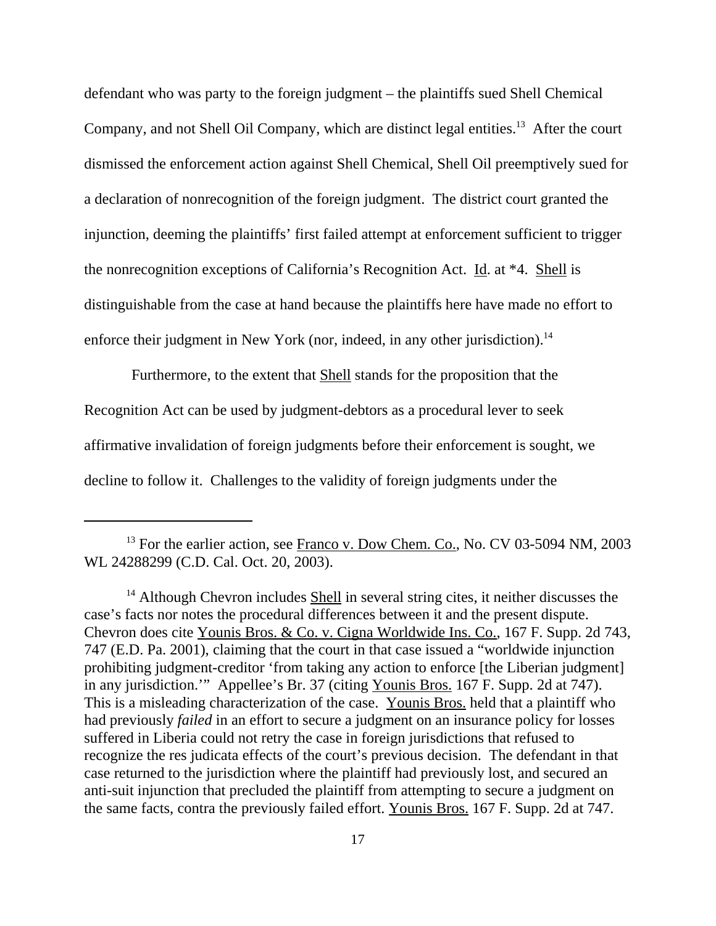defendant who was party to the foreign judgment – the plaintiffs sued Shell Chemical Company, and not Shell Oil Company, which are distinct legal entities.<sup>13</sup> After the court dismissed the enforcement action against Shell Chemical, Shell Oil preemptively sued for a declaration of nonrecognition of the foreign judgment. The district court granted the injunction, deeming the plaintiffs' first failed attempt at enforcement sufficient to trigger the nonrecognition exceptions of California's Recognition Act. Id. at \*4. Shell is distinguishable from the case at hand because the plaintiffs here have made no effort to enforce their judgment in New York (nor, indeed, in any other jurisdiction).<sup>14</sup>

Furthermore, to the extent that Shell stands for the proposition that the Recognition Act can be used by judgment-debtors as a procedural lever to seek affirmative invalidation of foreign judgments before their enforcement is sought, we decline to follow it. Challenges to the validity of foreign judgments under the

<sup>&</sup>lt;sup>13</sup> For the earlier action, see Franco v. Dow Chem. Co., No. CV 03-5094 NM, 2003 WL 24288299 (C.D. Cal. Oct. 20, 2003).

 $<sup>14</sup>$  Although Chevron includes Shell in several string cites, it neither discusses the</sup> case's facts nor notes the procedural differences between it and the present dispute. Chevron does cite Younis Bros. & Co. v. Cigna Worldwide Ins. Co., 167 F. Supp. 2d 743, 747 (E.D. Pa. 2001), claiming that the court in that case issued a "worldwide injunction prohibiting judgment-creditor 'from taking any action to enforce [the Liberian judgment] in any jurisdiction.'" Appellee's Br. 37 (citing Younis Bros. 167 F. Supp. 2d at 747). This is a misleading characterization of the case. Younis Bros. held that a plaintiff who had previously *failed* in an effort to secure a judgment on an insurance policy for losses suffered in Liberia could not retry the case in foreign jurisdictions that refused to recognize the res judicata effects of the court's previous decision. The defendant in that case returned to the jurisdiction where the plaintiff had previously lost, and secured an anti-suit injunction that precluded the plaintiff from attempting to secure a judgment on the same facts, contra the previously failed effort. Younis Bros. 167 F. Supp. 2d at 747.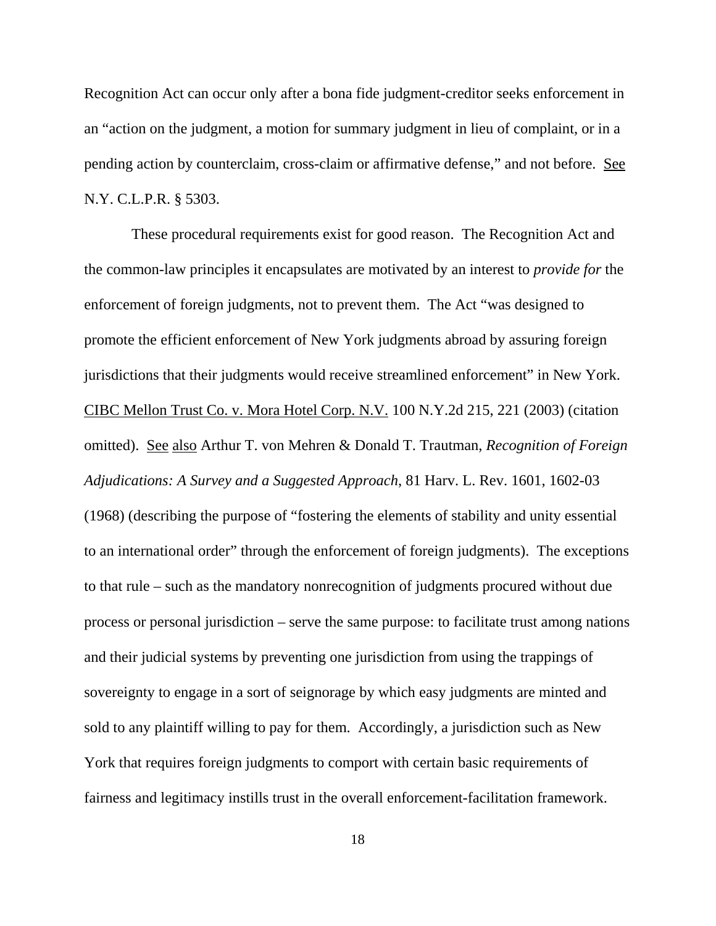Recognition Act can occur only after a bona fide judgment-creditor seeks enforcement in an "action on the judgment, a motion for summary judgment in lieu of complaint, or in a pending action by counterclaim, cross-claim or affirmative defense," and not before. See N.Y. C.L.P.R. § 5303.

These procedural requirements exist for good reason. The Recognition Act and the common-law principles it encapsulates are motivated by an interest to *provide for* the enforcement of foreign judgments, not to prevent them. The Act "was designed to promote the efficient enforcement of New York judgments abroad by assuring foreign jurisdictions that their judgments would receive streamlined enforcement" in New York. CIBC Mellon Trust Co. v. Mora Hotel Corp. N.V. 100 N.Y.2d 215, 221 (2003) (citation omitted). See also Arthur T. von Mehren & Donald T. Trautman, *Recognition of Foreign Adjudications: A Survey and a Suggested Approach*, 81 Harv. L. Rev. 1601, 1602-03 (1968) (describing the purpose of "fostering the elements of stability and unity essential to an international order" through the enforcement of foreign judgments). The exceptions to that rule – such as the mandatory nonrecognition of judgments procured without due process or personal jurisdiction – serve the same purpose: to facilitate trust among nations and their judicial systems by preventing one jurisdiction from using the trappings of sovereignty to engage in a sort of seignorage by which easy judgments are minted and sold to any plaintiff willing to pay for them. Accordingly, a jurisdiction such as New York that requires foreign judgments to comport with certain basic requirements of fairness and legitimacy instills trust in the overall enforcement-facilitation framework.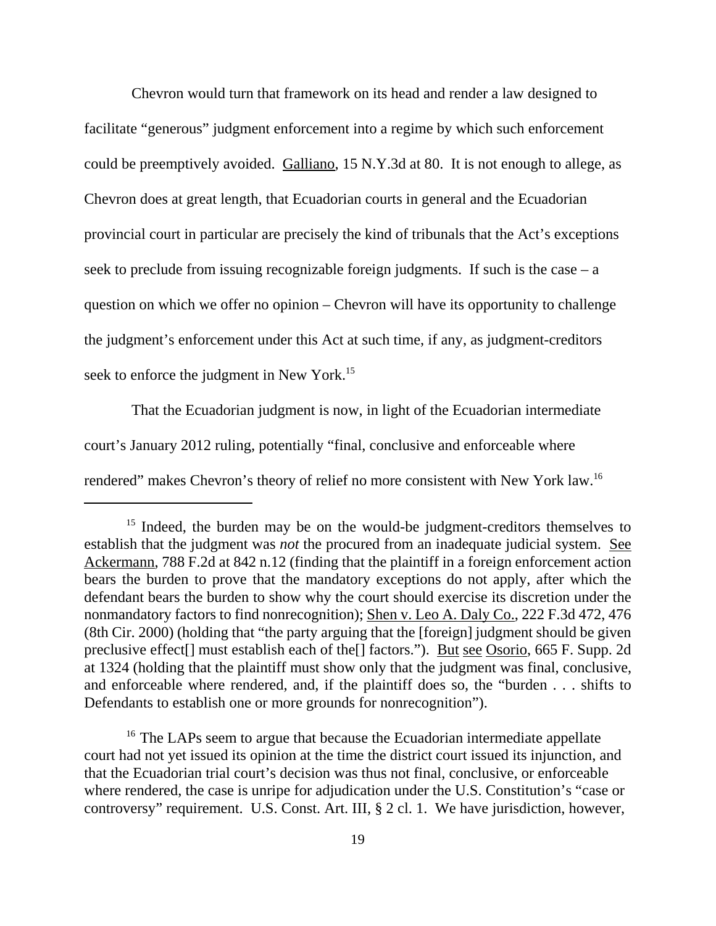Chevron would turn that framework on its head and render a law designed to facilitate "generous" judgment enforcement into a regime by which such enforcement could be preemptively avoided. Galliano, 15 N.Y.3d at 80. It is not enough to allege, as Chevron does at great length, that Ecuadorian courts in general and the Ecuadorian provincial court in particular are precisely the kind of tribunals that the Act's exceptions seek to preclude from issuing recognizable foreign judgments. If such is the case  $-a$ question on which we offer no opinion – Chevron will have its opportunity to challenge the judgment's enforcement under this Act at such time, if any, as judgment-creditors seek to enforce the judgment in New York.<sup>15</sup>

That the Ecuadorian judgment is now, in light of the Ecuadorian intermediate court's January 2012 ruling, potentially "final, conclusive and enforceable where rendered" makes Chevron's theory of relief no more consistent with New York law.16

<sup>&</sup>lt;sup>15</sup> Indeed, the burden may be on the would-be judgment-creditors themselves to establish that the judgment was *not* the procured from an inadequate judicial system. See Ackermann, 788 F.2d at 842 n.12 (finding that the plaintiff in a foreign enforcement action bears the burden to prove that the mandatory exceptions do not apply, after which the defendant bears the burden to show why the court should exercise its discretion under the nonmandatory factors to find nonrecognition); Shen v. Leo A. Daly Co., 222 F.3d 472, 476 (8th Cir. 2000) (holding that "the party arguing that the [foreign] judgment should be given preclusive effect[] must establish each of the[] factors."). But see Osorio, 665 F. Supp. 2d at 1324 (holding that the plaintiff must show only that the judgment was final, conclusive, and enforceable where rendered, and, if the plaintiff does so, the "burden . . . shifts to Defendants to establish one or more grounds for nonrecognition").

<sup>&</sup>lt;sup>16</sup> The LAPs seem to argue that because the Ecuadorian intermediate appellate court had not yet issued its opinion at the time the district court issued its injunction, and that the Ecuadorian trial court's decision was thus not final, conclusive, or enforceable where rendered, the case is unripe for adjudication under the U.S. Constitution's "case or controversy" requirement. U.S. Const. Art. III, § 2 cl. 1. We have jurisdiction, however,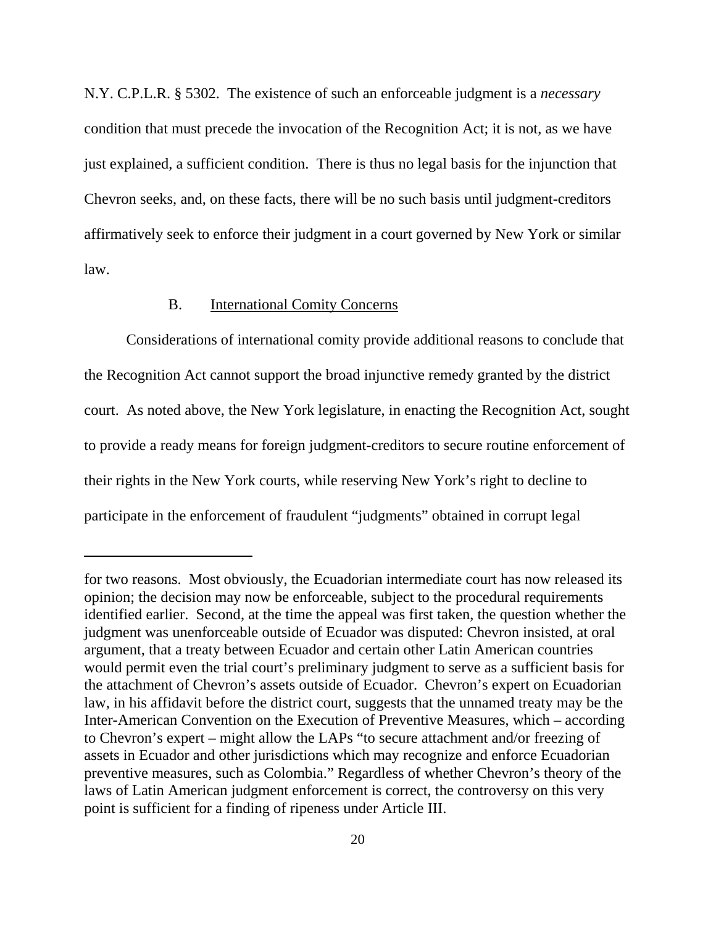N.Y. C.P.L.R. § 5302. The existence of such an enforceable judgment is a *necessary* condition that must precede the invocation of the Recognition Act; it is not, as we have just explained, a sufficient condition. There is thus no legal basis for the injunction that Chevron seeks, and, on these facts, there will be no such basis until judgment-creditors affirmatively seek to enforce their judgment in a court governed by New York or similar law.

# B. International Comity Concerns

Considerations of international comity provide additional reasons to conclude that the Recognition Act cannot support the broad injunctive remedy granted by the district court. As noted above, the New York legislature, in enacting the Recognition Act, sought to provide a ready means for foreign judgment-creditors to secure routine enforcement of their rights in the New York courts, while reserving New York's right to decline to participate in the enforcement of fraudulent "judgments" obtained in corrupt legal

for two reasons. Most obviously, the Ecuadorian intermediate court has now released its opinion; the decision may now be enforceable, subject to the procedural requirements identified earlier. Second, at the time the appeal was first taken, the question whether the judgment was unenforceable outside of Ecuador was disputed: Chevron insisted, at oral argument, that a treaty between Ecuador and certain other Latin American countries would permit even the trial court's preliminary judgment to serve as a sufficient basis for the attachment of Chevron's assets outside of Ecuador. Chevron's expert on Ecuadorian law, in his affidavit before the district court, suggests that the unnamed treaty may be the Inter-American Convention on the Execution of Preventive Measures, which – according to Chevron's expert – might allow the LAPs "to secure attachment and/or freezing of assets in Ecuador and other jurisdictions which may recognize and enforce Ecuadorian preventive measures, such as Colombia." Regardless of whether Chevron's theory of the laws of Latin American judgment enforcement is correct, the controversy on this very point is sufficient for a finding of ripeness under Article III.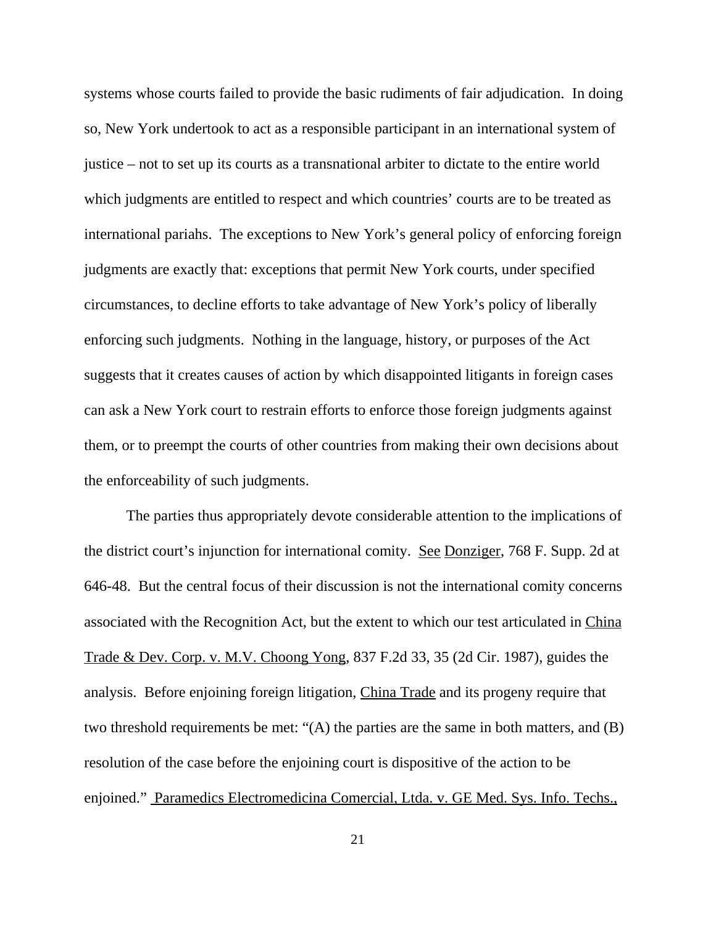systems whose courts failed to provide the basic rudiments of fair adjudication. In doing so, New York undertook to act as a responsible participant in an international system of justice – not to set up its courts as a transnational arbiter to dictate to the entire world which judgments are entitled to respect and which countries' courts are to be treated as international pariahs. The exceptions to New York's general policy of enforcing foreign judgments are exactly that: exceptions that permit New York courts, under specified circumstances, to decline efforts to take advantage of New York's policy of liberally enforcing such judgments. Nothing in the language, history, or purposes of the Act suggests that it creates causes of action by which disappointed litigants in foreign cases can ask a New York court to restrain efforts to enforce those foreign judgments against them, or to preempt the courts of other countries from making their own decisions about the enforceability of such judgments.

The parties thus appropriately devote considerable attention to the implications of the district court's injunction for international comity. See Donziger, 768 F. Supp. 2d at 646-48. But the central focus of their discussion is not the international comity concerns associated with the Recognition Act, but the extent to which our test articulated in China Trade & Dev. Corp. v. M.V. Choong Yong, 837 F.2d 33, 35 (2d Cir. 1987), guides the analysis. Before enjoining foreign litigation, China Trade and its progeny require that two threshold requirements be met: "(A) the parties are the same in both matters, and (B) resolution of the case before the enjoining court is dispositive of the action to be enjoined." Paramedics Electromedicina Comercial, Ltda. v. GE Med. Sys. Info. Techs.,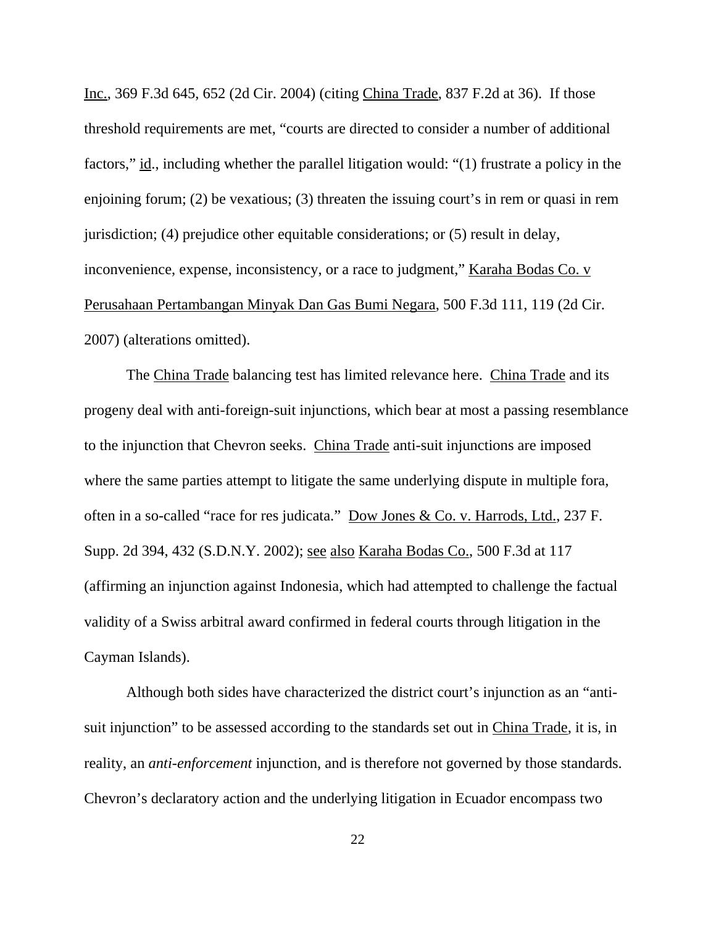Inc., 369 F.3d 645, 652 (2d Cir. 2004) (citing China Trade, 837 F.2d at 36). If those threshold requirements are met, "courts are directed to consider a number of additional factors," id., including whether the parallel litigation would: "(1) frustrate a policy in the enjoining forum; (2) be vexatious; (3) threaten the issuing court's in rem or quasi in rem jurisdiction; (4) prejudice other equitable considerations; or (5) result in delay, inconvenience, expense, inconsistency, or a race to judgment," Karaha Bodas Co. v Perusahaan Pertambangan Minyak Dan Gas Bumi Negara, 500 F.3d 111, 119 (2d Cir. 2007) (alterations omitted).

The China Trade balancing test has limited relevance here. China Trade and its progeny deal with anti-foreign-suit injunctions, which bear at most a passing resemblance to the injunction that Chevron seeks. China Trade anti-suit injunctions are imposed where the same parties attempt to litigate the same underlying dispute in multiple fora, often in a so-called "race for res judicata." Dow Jones & Co. v. Harrods, Ltd., 237 F. Supp. 2d 394, 432 (S.D.N.Y. 2002); see also Karaha Bodas Co., 500 F.3d at 117 (affirming an injunction against Indonesia, which had attempted to challenge the factual validity of a Swiss arbitral award confirmed in federal courts through litigation in the Cayman Islands).

Although both sides have characterized the district court's injunction as an "antisuit injunction" to be assessed according to the standards set out in China Trade, it is, in reality, an *anti-enforcement* injunction, and is therefore not governed by those standards. Chevron's declaratory action and the underlying litigation in Ecuador encompass two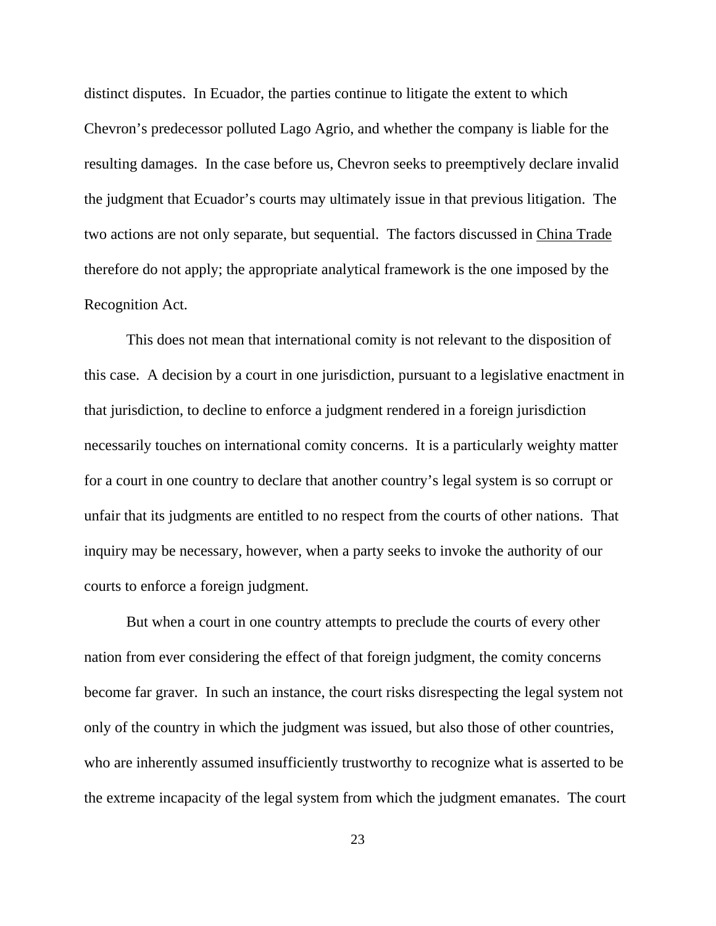distinct disputes. In Ecuador, the parties continue to litigate the extent to which Chevron's predecessor polluted Lago Agrio, and whether the company is liable for the resulting damages. In the case before us, Chevron seeks to preemptively declare invalid the judgment that Ecuador's courts may ultimately issue in that previous litigation. The two actions are not only separate, but sequential. The factors discussed in China Trade therefore do not apply; the appropriate analytical framework is the one imposed by the Recognition Act.

This does not mean that international comity is not relevant to the disposition of this case. A decision by a court in one jurisdiction, pursuant to a legislative enactment in that jurisdiction, to decline to enforce a judgment rendered in a foreign jurisdiction necessarily touches on international comity concerns. It is a particularly weighty matter for a court in one country to declare that another country's legal system is so corrupt or unfair that its judgments are entitled to no respect from the courts of other nations. That inquiry may be necessary, however, when a party seeks to invoke the authority of our courts to enforce a foreign judgment.

But when a court in one country attempts to preclude the courts of every other nation from ever considering the effect of that foreign judgment, the comity concerns become far graver. In such an instance, the court risks disrespecting the legal system not only of the country in which the judgment was issued, but also those of other countries, who are inherently assumed insufficiently trustworthy to recognize what is asserted to be the extreme incapacity of the legal system from which the judgment emanates. The court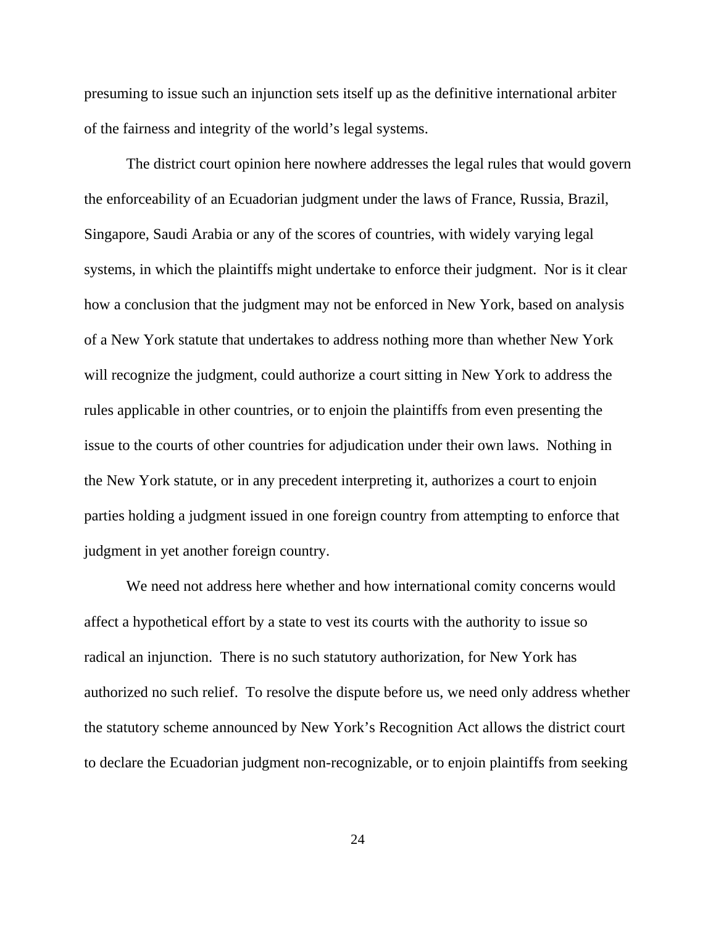presuming to issue such an injunction sets itself up as the definitive international arbiter of the fairness and integrity of the world's legal systems.

The district court opinion here nowhere addresses the legal rules that would govern the enforceability of an Ecuadorian judgment under the laws of France, Russia, Brazil, Singapore, Saudi Arabia or any of the scores of countries, with widely varying legal systems, in which the plaintiffs might undertake to enforce their judgment. Nor is it clear how a conclusion that the judgment may not be enforced in New York, based on analysis of a New York statute that undertakes to address nothing more than whether New York will recognize the judgment, could authorize a court sitting in New York to address the rules applicable in other countries, or to enjoin the plaintiffs from even presenting the issue to the courts of other countries for adjudication under their own laws. Nothing in the New York statute, or in any precedent interpreting it, authorizes a court to enjoin parties holding a judgment issued in one foreign country from attempting to enforce that judgment in yet another foreign country.

We need not address here whether and how international comity concerns would affect a hypothetical effort by a state to vest its courts with the authority to issue so radical an injunction. There is no such statutory authorization, for New York has authorized no such relief. To resolve the dispute before us, we need only address whether the statutory scheme announced by New York's Recognition Act allows the district court to declare the Ecuadorian judgment non-recognizable, or to enjoin plaintiffs from seeking

24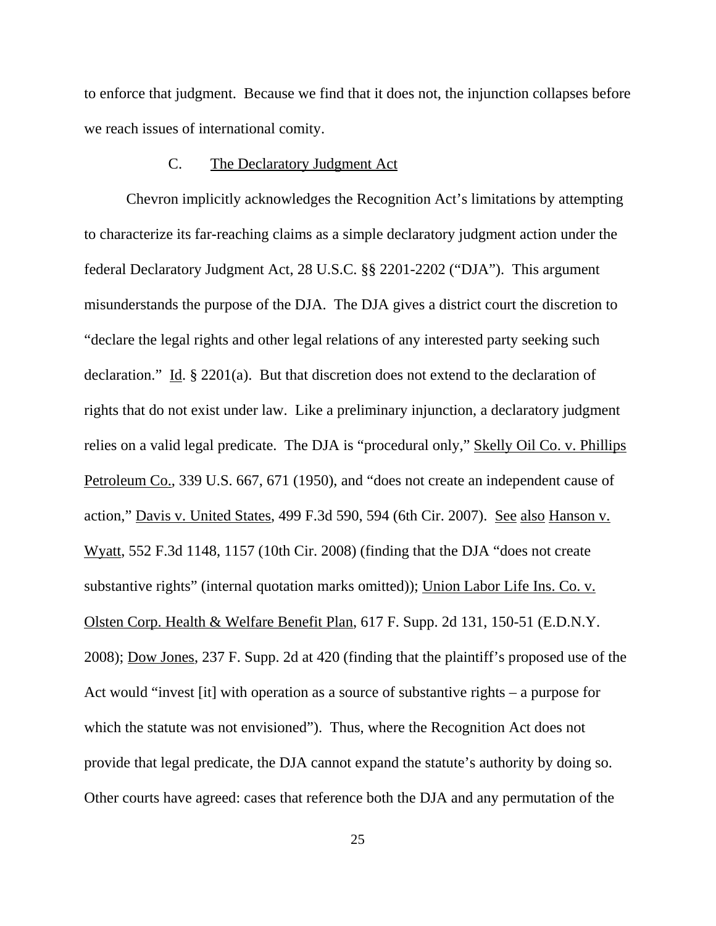to enforce that judgment. Because we find that it does not, the injunction collapses before we reach issues of international comity.

# C. The Declaratory Judgment Act

Chevron implicitly acknowledges the Recognition Act's limitations by attempting to characterize its far-reaching claims as a simple declaratory judgment action under the federal Declaratory Judgment Act, 28 U.S.C. §§ 2201-2202 ("DJA"). This argument misunderstands the purpose of the DJA. The DJA gives a district court the discretion to "declare the legal rights and other legal relations of any interested party seeking such declaration." Id. § 2201(a). But that discretion does not extend to the declaration of rights that do not exist under law. Like a preliminary injunction, a declaratory judgment relies on a valid legal predicate. The DJA is "procedural only," Skelly Oil Co. v. Phillips Petroleum Co., 339 U.S. 667, 671 (1950), and "does not create an independent cause of action," Davis v. United States, 499 F.3d 590, 594 (6th Cir. 2007). See also Hanson v. Wyatt, 552 F.3d 1148, 1157 (10th Cir. 2008) (finding that the DJA "does not create substantive rights" (internal quotation marks omitted)); Union Labor Life Ins. Co. v. Olsten Corp. Health & Welfare Benefit Plan, 617 F. Supp. 2d 131, 150-51 (E.D.N.Y. 2008); Dow Jones, 237 F. Supp. 2d at 420 (finding that the plaintiff's proposed use of the Act would "invest [it] with operation as a source of substantive rights – a purpose for which the statute was not envisioned"). Thus, where the Recognition Act does not provide that legal predicate, the DJA cannot expand the statute's authority by doing so. Other courts have agreed: cases that reference both the DJA and any permutation of the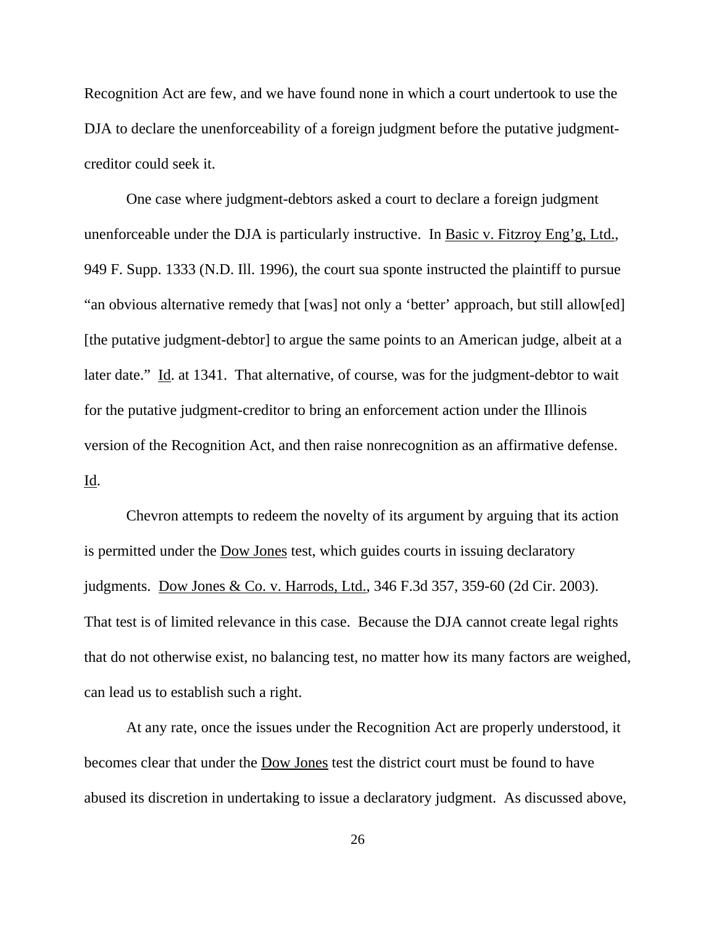Recognition Act are few, and we have found none in which a court undertook to use the DJA to declare the unenforceability of a foreign judgment before the putative judgmentcreditor could seek it.

One case where judgment-debtors asked a court to declare a foreign judgment unenforceable under the DJA is particularly instructive. In <u>Basic v. Fitzroy Eng'g, Ltd.</u>, 949 F. Supp. 1333 (N.D. Ill. 1996), the court sua sponte instructed the plaintiff to pursue "an obvious alternative remedy that [was] not only a 'better' approach, but still allow[ed] [the putative judgment-debtor] to argue the same points to an American judge, albeit at a later date." Id. at 1341. That alternative, of course, was for the judgment-debtor to wait for the putative judgment-creditor to bring an enforcement action under the Illinois version of the Recognition Act, and then raise nonrecognition as an affirmative defense. Id.

Chevron attempts to redeem the novelty of its argument by arguing that its action is permitted under the Dow Jones test, which guides courts in issuing declaratory judgments. Dow Jones & Co. v. Harrods, Ltd., 346 F.3d 357, 359-60 (2d Cir. 2003). That test is of limited relevance in this case. Because the DJA cannot create legal rights that do not otherwise exist, no balancing test, no matter how its many factors are weighed, can lead us to establish such a right.

At any rate, once the issues under the Recognition Act are properly understood, it becomes clear that under the Dow Jones test the district court must be found to have abused its discretion in undertaking to issue a declaratory judgment. As discussed above,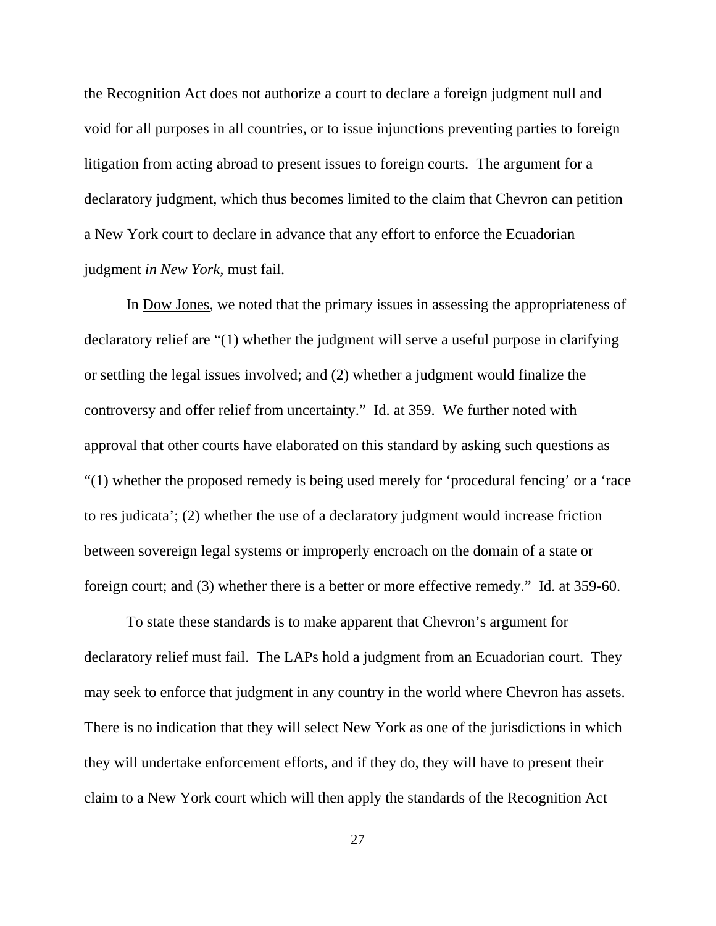the Recognition Act does not authorize a court to declare a foreign judgment null and void for all purposes in all countries, or to issue injunctions preventing parties to foreign litigation from acting abroad to present issues to foreign courts. The argument for a declaratory judgment, which thus becomes limited to the claim that Chevron can petition a New York court to declare in advance that any effort to enforce the Ecuadorian judgment *in New York,* must fail.

In Dow Jones, we noted that the primary issues in assessing the appropriateness of declaratory relief are "(1) whether the judgment will serve a useful purpose in clarifying or settling the legal issues involved; and (2) whether a judgment would finalize the controversy and offer relief from uncertainty."  $\underline{Id}$ . at 359. We further noted with approval that other courts have elaborated on this standard by asking such questions as "(1) whether the proposed remedy is being used merely for 'procedural fencing' or a 'race to res judicata'; (2) whether the use of a declaratory judgment would increase friction between sovereign legal systems or improperly encroach on the domain of a state or foreign court; and (3) whether there is a better or more effective remedy." Id. at 359-60.

To state these standards is to make apparent that Chevron's argument for declaratory relief must fail. The LAPs hold a judgment from an Ecuadorian court. They may seek to enforce that judgment in any country in the world where Chevron has assets. There is no indication that they will select New York as one of the jurisdictions in which they will undertake enforcement efforts, and if they do, they will have to present their claim to a New York court which will then apply the standards of the Recognition Act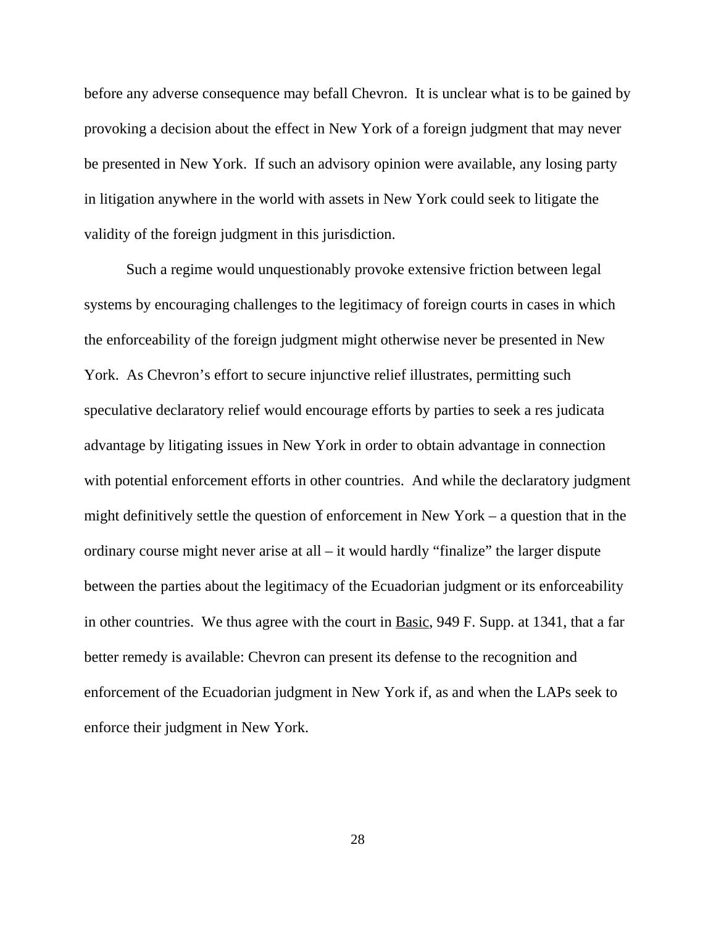before any adverse consequence may befall Chevron. It is unclear what is to be gained by provoking a decision about the effect in New York of a foreign judgment that may never be presented in New York. If such an advisory opinion were available, any losing party in litigation anywhere in the world with assets in New York could seek to litigate the validity of the foreign judgment in this jurisdiction.

Such a regime would unquestionably provoke extensive friction between legal systems by encouraging challenges to the legitimacy of foreign courts in cases in which the enforceability of the foreign judgment might otherwise never be presented in New York. As Chevron's effort to secure injunctive relief illustrates, permitting such speculative declaratory relief would encourage efforts by parties to seek a res judicata advantage by litigating issues in New York in order to obtain advantage in connection with potential enforcement efforts in other countries. And while the declaratory judgment might definitively settle the question of enforcement in New York – a question that in the ordinary course might never arise at all – it would hardly "finalize" the larger dispute between the parties about the legitimacy of the Ecuadorian judgment or its enforceability in other countries. We thus agree with the court in Basic, 949 F. Supp. at 1341, that a far better remedy is available: Chevron can present its defense to the recognition and enforcement of the Ecuadorian judgment in New York if, as and when the LAPs seek to enforce their judgment in New York.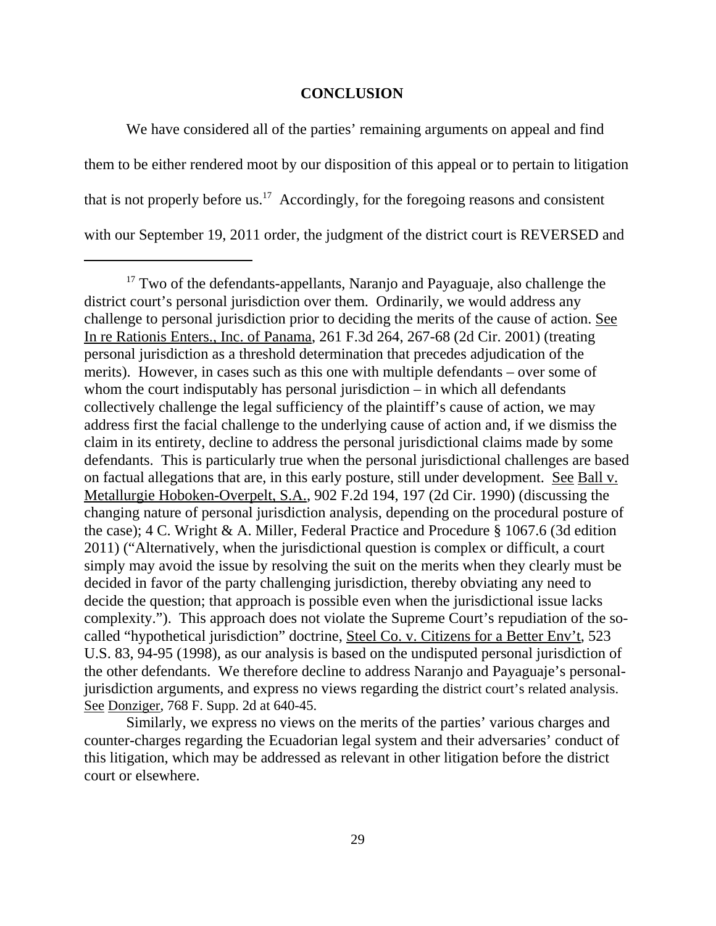### **CONCLUSION**

We have considered all of the parties' remaining arguments on appeal and find them to be either rendered moot by our disposition of this appeal or to pertain to litigation that is not properly before us.<sup>17</sup> Accordingly, for the foregoing reasons and consistent with our September 19, 2011 order, the judgment of the district court is REVERSED and

 $17$  Two of the defendants-appellants, Naranjo and Payaguaje, also challenge the district court's personal jurisdiction over them. Ordinarily, we would address any challenge to personal jurisdiction prior to deciding the merits of the cause of action. See In re Rationis Enters., Inc. of Panama, 261 F.3d 264, 267-68 (2d Cir. 2001) (treating personal jurisdiction as a threshold determination that precedes adjudication of the merits). However, in cases such as this one with multiple defendants – over some of whom the court indisputably has personal jurisdiction – in which all defendants collectively challenge the legal sufficiency of the plaintiff's cause of action, we may address first the facial challenge to the underlying cause of action and, if we dismiss the claim in its entirety, decline to address the personal jurisdictional claims made by some defendants. This is particularly true when the personal jurisdictional challenges are based on factual allegations that are, in this early posture, still under development. See Ball v. Metallurgie Hoboken-Overpelt, S.A., 902 F.2d 194, 197 (2d Cir. 1990) (discussing the changing nature of personal jurisdiction analysis, depending on the procedural posture of the case); 4 C. Wright & A. Miller, Federal Practice and Procedure § 1067.6 (3d edition 2011) ("Alternatively, when the jurisdictional question is complex or difficult, a court simply may avoid the issue by resolving the suit on the merits when they clearly must be decided in favor of the party challenging jurisdiction, thereby obviating any need to decide the question; that approach is possible even when the jurisdictional issue lacks complexity."). This approach does not violate the Supreme Court's repudiation of the socalled "hypothetical jurisdiction" doctrine, Steel Co. v. Citizens for a Better Env't, 523 U.S. 83, 94-95 (1998), as our analysis is based on the undisputed personal jurisdiction of the other defendants. We therefore decline to address Naranjo and Payaguaje's personaljurisdiction arguments, and express no views regarding the district court's related analysis. See Donziger, 768 F. Supp. 2d at 640-45.

Similarly, we express no views on the merits of the parties' various charges and counter-charges regarding the Ecuadorian legal system and their adversaries' conduct of this litigation, which may be addressed as relevant in other litigation before the district court or elsewhere.